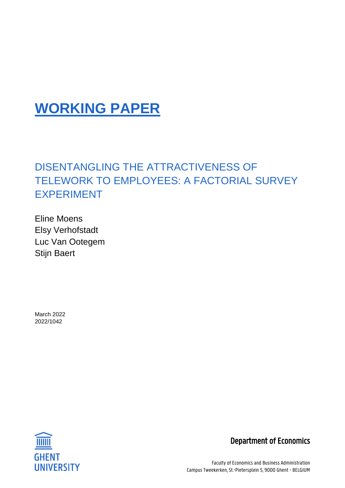# **WORKING PAPER**

## DISENTANGLING THE ATTRACTIVENESS OF TELEWORK TO EMPLOYEES: A FACTORIAL SURVEY EXPERIMENT

Eline Moens Elsy Verhofstadt Luc Van Ootegem Stijn Baert

March 2022 2022/1042



Department of Economics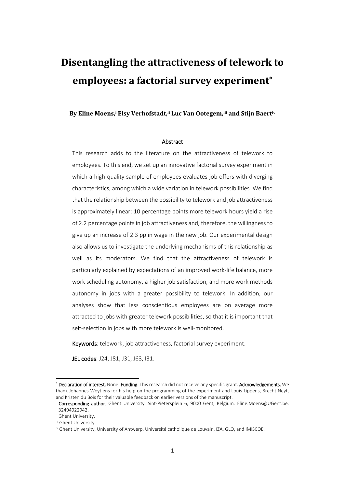## **Disentangling the attractiveness of telework to employees: a factorial survey experiment\***

**By Eline Moens,<sup>i</sup> Elsy Verhofstadt,ii Luc Van Ootegem,iii and Stijn Baertiv**

#### Abstract

This research adds to the literature on the attractiveness of telework to employees. To this end, we set up an innovative factorial survey experiment in which a high-quality sample of employees evaluates job offers with diverging characteristics, among which a wide variation in telework possibilities. We find that the relationship between the possibility to telework and job attractiveness is approximately linear: 10 percentage points more telework hours yield a rise of 2.2 percentage points in job attractiveness and, therefore, the willingness to give up an increase of 2.3 pp in wage in the new job. Our experimental design also allows us to investigate the underlying mechanisms of this relationship as well as its moderators. We find that the attractiveness of telework is particularly explained by expectations of an improved work-life balance, more work scheduling autonomy, a higher job satisfaction, and more work methods autonomy in jobs with a greater possibility to telework. In addition, our analyses show that less conscientious employees are on average more attracted to jobs with greater telework possibilities, so that it is important that self-selection in jobs with more telework is well-monitored.

Keywords: telework, job attractiveness, factorial survey experiment.

JEL codes: J24, J81, J31, J63, I31.

-

<sup>\*</sup> Declaration of interest. None. Funding. This research did not receive any specific grant. Acknowledgements. We thank Johannes Weytjens for his help on the programming of the experiment and Louis Lippens, Brecht Neyt, and Kristen du Bois for their valuable feedback on earlier versions of the manuscript.

<sup>&</sup>lt;sup>i</sup> Corresponding author. Ghent University. Sint-Pietersplein 6, 9000 Gent, Belgium. Eline.Moens@UGent.be. +32494922942.

ii Ghent University.

iii Ghent University.

iv Ghent University, University of Antwerp, Université catholique de Louvain, IZA, GLO, and IMISCOE.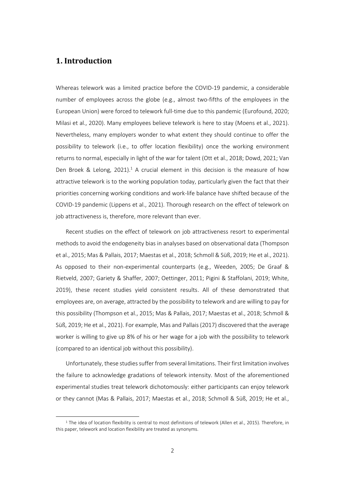## **1. Introduction**

-

Whereas telework was a limited practice before the COVID-19 pandemic, a considerable number of employees across the globe (e.g., almost two-fifths of the employees in the European Union) were forced to telework full-time due to this pandemic (Eurofound, 2020; Milasi et al., 2020). Many employees believe telework is here to stay (Moens et al., 2021). Nevertheless, many employers wonder to what extent they should continue to offer the possibility to telework (i.e., to offer location flexibility) once the working environment returns to normal, especially in light of the war for talent (Ott et al., 2018; Dowd, 2021; Van Den Broek & Lelong,  $2021$ ).<sup>1</sup> A crucial element in this decision is the measure of how attractive telework is to the working population today, particularly given the fact that their priorities concerning working conditions and work-life balance have shifted because of the COVID-19 pandemic (Lippens et al., 2021). Thorough research on the effect of telework on job attractiveness is, therefore, more relevant than ever.

Recent studies on the effect of telework on job attractiveness resort to experimental methods to avoid the endogeneity bias in analyses based on observational data (Thompson et al., 2015; Mas & Pallais, 2017; Maestas et al., 2018; Schmoll & Süß, 2019; He et al., 2021). As opposed to their non-experimental counterparts (e.g., Weeden, 2005; De Graaf & Rietveld, 2007; Gariety & Shaffer, 2007; Oettinger, 2011; Pigini & Staffolani, 2019; White, 2019), these recent studies yield consistent results. All of these demonstrated that employees are, on average, attracted by the possibility to telework and are willing to pay for this possibility (Thompson et al., 2015; Mas & Pallais, 2017; Maestas et al., 2018; Schmoll & Süß, 2019; He et al., 2021). For example, Mas and Pallais (2017) discovered that the average worker is willing to give up 8% of his or her wage for a job with the possibility to telework (compared to an identical job without this possibility).

Unfortunately, these studies suffer from several limitations. Theirfirst limitation involves the failure to acknowledge gradations of telework intensity. Most of the aforementioned experimental studies treat telework dichotomously: either participants can enjoy telework or they cannot (Mas & Pallais, 2017; Maestas et al., 2018; Schmoll & Süß, 2019; He et al.,

<sup>&</sup>lt;sup>1</sup> The idea of location flexibility is central to most definitions of telework (Allen et al., 2015). Therefore, in this paper, telework and location flexibility are treated as synonyms.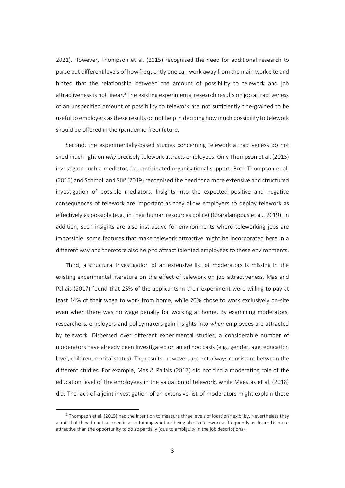2021). However, Thompson et al. (2015) recognised the need for additional research to parse out different levels of how frequently one can work away from the main work site and hinted that the relationship between the amount of possibility to telework and job attractiveness is not linear.<sup>2</sup> The existing experimental research results on job attractiveness of an unspecified amount of possibility to telework are not sufficiently fine-grained to be useful to employers as these results do not help in deciding how much possibility to telework should be offered in the (pandemic-free) future.

Second, the experimentally-based studies concerning telework attractiveness do not shed much light on *why* precisely telework attracts employees. Only Thompson et al. (2015) investigate such a mediator, i.e., anticipated organisational support. Both Thompson et al. (2015) and Schmoll and Süß (2019) recognised the need for a more extensive and structured investigation of possible mediators. Insights into the expected positive and negative consequences of telework are important as they allow employers to deploy telework as effectively as possible (e.g., in their human resources policy) (Charalampous et al., 2019). In addition, such insights are also instructive for environments where teleworking jobs are impossible: some features that make telework attractive might be incorporated here in a different way and therefore also help to attract talented employees to these environments.

Third, a structural investigation of an extensive list of moderators is missing in the existing experimental literature on the effect of telework on job attractiveness. Mas and Pallais (2017) found that 25% of the applicants in their experiment were willing to pay at least 14% of their wage to work from home, while 20% chose to work exclusively on-site even when there was no wage penalty for working at home. By examining moderators, researchers, employers and policymakers gain insights into *when* employees are attracted by telework. Dispersed over different experimental studies, a considerable number of moderators have already been investigated on an ad hoc basis (e.g., gender, age, education level, children, marital status). The results, however, are not always consistent between the different studies. For example, Mas & Pallais (2017) did not find a moderating role of the education level of the employees in the valuation of telework, while Maestas et al. (2018) did. The lack of a joint investigation of an extensive list of moderators might explain these

-

 $^2$  Thompson et al. (2015) had the intention to measure three levels of location flexibility. Nevertheless they admit that they do not succeed in ascertaining whether being able to telework as frequently as desired is more attractive than the opportunity to do so partially (due to ambiguity in the job descriptions).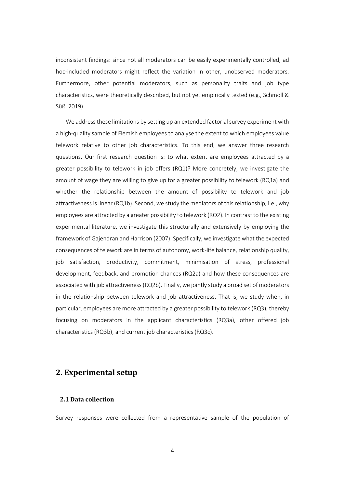inconsistent findings: since not all moderators can be easily experimentally controlled, ad hoc-included moderators might reflect the variation in other, unobserved moderators. Furthermore, other potential moderators, such as personality traits and job type characteristics, were theoretically described, but not yet empirically tested (e.g., Schmoll & Süß, 2019).

We address these limitations by setting up an extended factorial survey experiment with a high-quality sample of Flemish employees to analyse the extent to which employees value telework relative to other job characteristics. To this end, we answer three research questions. Our first research question is: to what extent are employees attracted by a greater possibility to telework in job offers (RQ1)? More concretely, we investigate the amount of wage they are willing to give up for a greater possibility to telework (RQ1a) and whether the relationship between the amount of possibility to telework and job attractiveness is linear (RQ1b). Second, we study the mediators of this relationship, i.e., why employees are attracted by a greater possibility to telework (RQ2). In contrast to the existing experimental literature, we investigate this structurally and extensively by employing the framework of Gajendran and Harrison (2007). Specifically, we investigate what the expected consequences of telework are in terms of autonomy, work-life balance, relationship quality, job satisfaction, productivity, commitment, minimisation of stress, professional development, feedback, and promotion chances (RQ2a) and how these consequences are associated with job attractiveness(RQ2b). Finally, we jointly study a broad set of moderators in the relationship between telework and job attractiveness. That is, we study when, in particular, employees are more attracted by a greater possibility to telework (RQ3), thereby focusing on moderators in the applicant characteristics (RQ3a), other offered job characteristics (RQ3b), and current job characteristics (RQ3c).

## **2. Experimental setup**

## **2.1 Data collection**

Survey responses were collected from a representative sample of the population of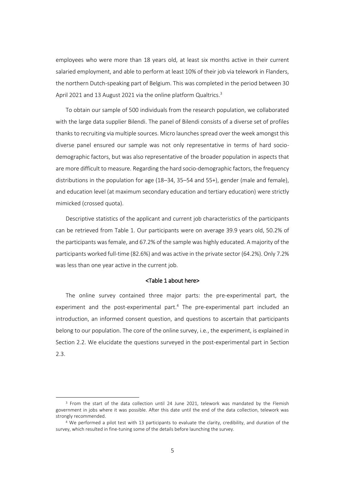employees who were more than 18 years old, at least six months active in their current salaried employment, and able to perform at least 10% of their job via telework in Flanders, the northern Dutch-speaking part of Belgium. This was completed in the period between 30 April 2021 and 13 August 2021 via the online platform Qualtrics.<sup>3</sup>

To obtain our sample of 500 individuals from the research population, we collaborated with the large data supplier Bilendi. The panel of Bilendi consists of a diverse set of profiles thanks to recruiting via multiple sources. Micro launches spread over the week amongst this diverse panel ensured our sample was not only representative in terms of hard sociodemographic factors, but was also representative of the broader population in aspects that are more difficult to measure. Regarding the hard socio-demographic factors, the frequency distributions in the population for age (18–34, 35–54 and 55+), gender (male and female), and education level (at maximum secondary education and tertiary education) were strictly mimicked (crossed quota).

Descriptive statistics of the applicant and current job characteristics of the participants can be retrieved from Table 1. Our participants were on average 39.9 years old, 50.2% of the participants wasfemale, and 67.2% of the sample was highly educated. A majority of the participants worked full-time (82.6%) and was active in the private sector (64.2%). Only 7.2% was less than one year active in the current job.

#### <Table 1 about here>

The online survey contained three major parts: the pre-experimental part, the experiment and the post-experimental part.<sup>4</sup> The pre-experimental part included an introduction, an informed consent question, and questions to ascertain that participants belong to our population. The core of the online survey, i.e., the experiment, is explained in Section 2.2. We elucidate the questions surveyed in the post-experimental part in Section 2.3.

-

<sup>3</sup> From the start of the data collection until 24 June 2021, telework was mandated by the Flemish government in jobs where it was possible. After this date until the end of the data collection, telework was strongly recommended.

<sup>4</sup> We performed a pilot test with 13 participants to evaluate the clarity, credibility, and duration of the survey, which resulted in fine-tuning some of the details before launching the survey.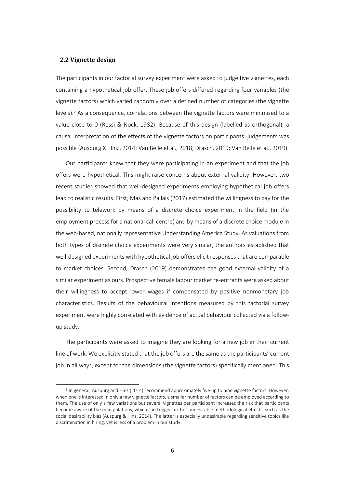### **2.2 Vignette design**

-

The participants in our factorial survey experiment were asked to judge five vignettes, each containing a hypothetical job offer. These job offers differed regarding four variables (the vignette factors) which varied randomly over a defined number of categories (the vignette levels). <sup>5</sup> As a consequence, correlations between the vignette factors were minimised to a value close to 0 (Rossi & Nock, 1982). Because of this design (labelled as orthogonal), a causal interpretation of the effects of the vignette factors on participants' judgements was possible (Auspurg & Hinz, 2014; Van Belle et al., 2018; Drasch, 2019; Van Belle et al., 2019).

Our participants knew that they were participating in an experiment and that the job offers were hypothetical. This might raise concerns about external validity. However, two recent studies showed that well-designed experiments employing hypothetical job offers lead to realistic results. First, Mas and Pallais (2017) estimated the willingness to pay for the possibility to telework by means of a discrete choice experiment in the field (in the employment process for a national call centre) and by means of a discrete choice module in the web-based, nationally representative Understanding America Study. As valuations from both types of discrete choice experiments were very similar, the authors established that well-designed experiments with hypothetical job offers elicit responses that are comparable to market choices. Second, Drasch (2019) demonstrated the good external validity of a similar experiment as ours. Prospective female labour market re-entrants were asked about their willingness to accept lower wages if compensated by positive nonmonetary job characteristics. Results of the behavioural intentions measured by this factorial survey experiment were highly correlated with evidence of actual behaviour collected via a followup study.

The participants were asked to imagine they are looking for a new job in their current line of work. We explicitly stated that the job offers are the same as the participants' current job in all ways, except for the dimensions (the vignette factors) specifically mentioned. This

<sup>&</sup>lt;sup>5</sup> In general, Auspurg and Hinz (2014) recommend approximately five up to nine vignette factors. However, when one is interested in only a few vignette factors, a smaller number of factors can be employed according to them. The use of only a few variations but several vignettes per participant increases the risk that participants become aware of the manipulations, which can trigger further undesirable methodological effects, such as the social desirability bias (Auspurg & Hinz, 2014). The latter is especially undesirable regarding sensitive topics like discrimination in hiring, yet is less of a problem in our study.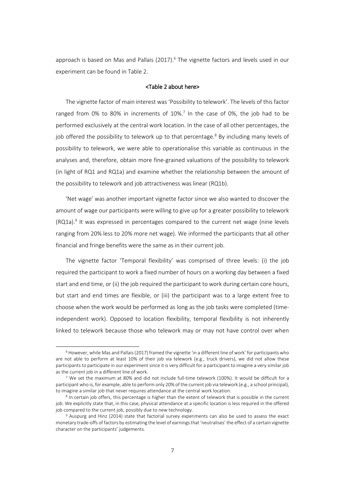approach is based on Mas and Pallais (2017).<sup>6</sup> The vignette factors and levels used in our experiment can be found in Table 2.

## <Table 2 about here>

The vignette factor of main interest was 'Possibility to telework'. The levels of this factor ranged from 0% to 80% in increments of 10%.<sup>7</sup> In the case of 0%, the job had to be performed exclusively at the central work location. In the case of all other percentages, the job offered the possibility to telework up to that percentage.<sup>8</sup> By including many levels of possibility to telework, we were able to operationalise this variable as continuous in the analyses and, therefore, obtain more fine-grained valuations of the possibility to telework (in light of RQ1 and RQ1a) and examine whether the relationship between the amount of the possibility to telework and job attractiveness was linear (RQ1b).

'Net wage' was another important vignette factor since we also wanted to discover the amount of wage our participants were willing to give up for a greater possibility to telework  $(RQ1a)$ .<sup>9</sup> It was expressed in percentages compared to the current net wage (nine levels ranging from 20% less to 20% more net wage). We informed the participants that all other financial and fringe benefits were the same as in their current job.

The vignette factor 'Temporal flexibility' was comprised of three levels: (i) the job required the participant to work a fixed number of hours on a working day between a fixed start and end time, or (ii) the job required the participant to work during certain core hours, but start and end times are flexible, or (iii) the participant was to a large extent free to choose when the work would be performed as long as the job tasks were completed (timeindependent work). Opposed to location flexibility, temporal flexibility is not inherently linked to telework because those who telework may or may not have control over when

1

<sup>6</sup> However, while Mas and Pallais (2017) framed the vignette 'in a different line of work' for participants who are not able to perform at least 10% of their job via telework (e.g., truck drivers), we did not allow these participants to participate in our experiment since it is very difficult for a participant to imagine a very similar job as the current job in a different line of work.

<sup>7</sup> We set the maximum at 80% and did not include full-time telework (100%). It would be difficult for a participant who is, for example, able to perform only 20% of the current job via telework (e.g., a school principal), to imagine a similar job that never requires attendance at the central work location.

<sup>8</sup> In certain job offers, this percentage is higher than the extent of telework that is possible in the current job. We explicitly state that, in this case, physical attendance at a specific location is less required in the offered job compared to the current job, possibly due to new technology.

<sup>9</sup> Auspurg and Hinz (2014) state that factorial survey experiments can also be used to assess the exact monetary trade-offs of factors by estimating the level of earnings that 'neutralises' the effect of a certain vignette character on the participants' judgements.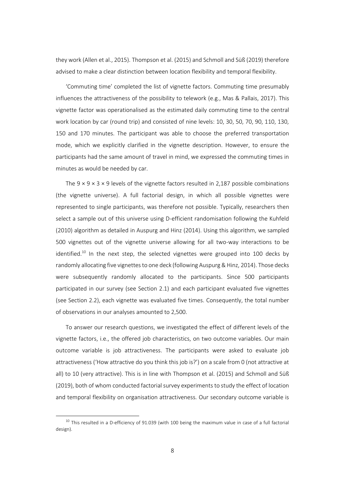they work (Allen et al., 2015). Thompson et al. (2015) and Schmoll and Süß (2019) therefore advised to make a clear distinction between location flexibility and temporal flexibility.

'Commuting time' completed the list of vignette factors. Commuting time presumably influences the attractiveness of the possibility to telework (e.g., Mas & Pallais, 2017). This vignette factor was operationalised as the estimated daily commuting time to the central work location by car (round trip) and consisted of nine levels: 10, 30, 50, 70, 90, 110, 130, 150 and 170 minutes. The participant was able to choose the preferred transportation mode, which we explicitly clarified in the vignette description. However, to ensure the participants had the same amount of travel in mind, we expressed the commuting times in minutes as would be needed by car.

The  $9 \times 9 \times 3 \times 9$  levels of the vignette factors resulted in 2,187 possible combinations (the vignette universe). A full factorial design, in which all possible vignettes were represented to single participants, was therefore not possible. Typically, researchers then select a sample out of this universe using D-efficient randomisation following the Kuhfeld (2010) algorithm as detailed in Auspurg and Hinz (2014). Using this algorithm, we sampled 500 vignettes out of the vignette universe allowing for all two-way interactions to be identified.<sup>10</sup> In the next step, the selected vignettes were grouped into 100 decks by randomly allocating five vignettesto one deck (following Auspurg & Hinz, 2014). Those decks were subsequently randomly allocated to the participants. Since 500 participants participated in our survey (see Section 2.1) and each participant evaluated five vignettes (see Section 2.2), each vignette was evaluated five times. Consequently, the total number of observations in our analyses amounted to 2,500.

To answer our research questions, we investigated the effect of different levels of the vignette factors, i.e., the offered job characteristics, on two outcome variables. Our main outcome variable is job attractiveness. The participants were asked to evaluate job attractiveness ('How attractive do you think this job is?') on a scale from 0 (not attractive at all) to 10 (very attractive). This is in line with Thompson et al. (2015) and Schmoll and Süß (2019), both of whom conducted factorial survey experiments to study the effect of location and temporal flexibility on organisation attractiveness. Our secondary outcome variable is

1

 $10$  This resulted in a D-efficiency of 91.039 (with 100 being the maximum value in case of a full factorial design).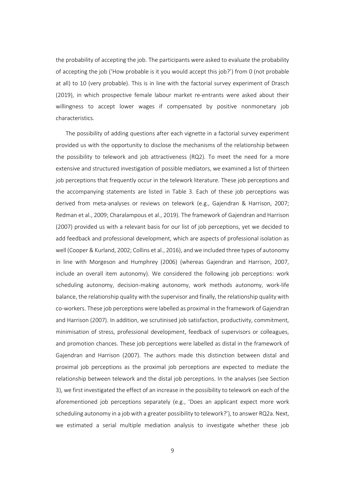the probability of accepting the job. The participants were asked to evaluate the probability of accepting the job ('How probable is it you would accept this job?') from 0 (not probable at all) to 10 (very probable). This is in line with the factorial survey experiment of Drasch (2019), in which prospective female labour market re-entrants were asked about their willingness to accept lower wages if compensated by positive nonmonetary job characteristics.

The possibility of adding questions after each vignette in a factorial survey experiment provided us with the opportunity to disclose the mechanisms of the relationship between the possibility to telework and job attractiveness (RQ2). To meet the need for a more extensive and structured investigation of possible mediators, we examined a list of thirteen job perceptions that frequently occur in the telework literature. These job perceptions and the accompanying statements are listed in Table 3. Each of these job perceptions was derived from meta-analyses or reviews on telework (e.g., Gajendran & Harrison, 2007; Redman et al., 2009; Charalampous et al., 2019). The framework of Gajendran and Harrison (2007) provided us with a relevant basis for our list of job perceptions, yet we decided to add feedback and professional development, which are aspects of professional isolation as well (Cooper & Kurland, 2002; Collins et al., 2016), and we included three types of autonomy in line with Morgeson and Humphrey (2006) (whereas Gajendran and Harrison, 2007, include an overall item autonomy). We considered the following job perceptions: work scheduling autonomy, decision-making autonomy, work methods autonomy, work-life balance, the relationship quality with the supervisor and finally, the relationship quality with co-workers. These job perceptions were labelled as proximal in the framework of Gajendran and Harrison (2007). In addition, we scrutinised job satisfaction, productivity, commitment, minimisation of stress, professional development, feedback of supervisors or colleagues, and promotion chances. These job perceptions were labelled as distal in the framework of Gajendran and Harrison (2007). The authors made this distinction between distal and proximal job perceptions as the proximal job perceptions are expected to mediate the relationship between telework and the distal job perceptions. In the analyses (see Section 3), we first investigated the effect of an increase in the possibility to telework on each of the aforementioned job perceptions separately (e.g., 'Does an applicant expect more work scheduling autonomy in a job with a greater possibility to telework?'), to answer RQ2a. Next, we estimated a serial multiple mediation analysis to investigate whether these job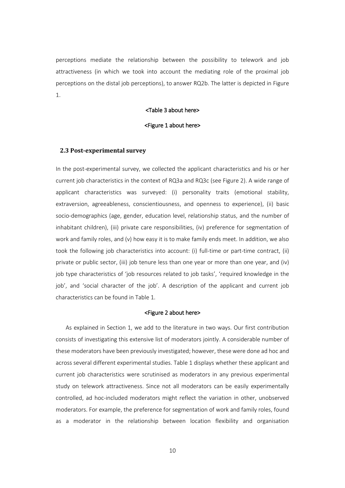perceptions mediate the relationship between the possibility to telework and job attractiveness (in which we took into account the mediating role of the proximal job perceptions on the distal job perceptions), to answer RQ2b. The latter is depicted in Figure 1.

## <Table 3 about here>

## <Figure 1 about here>

## **2.3 Post-experimental survey**

In the post-experimental survey, we collected the applicant characteristics and his or her current job characteristics in the context of RQ3a and RQ3c (see Figure 2). A wide range of applicant characteristics was surveyed: (i) personality traits (emotional stability, extraversion, agreeableness, conscientiousness, and openness to experience), (ii) basic socio-demographics (age, gender, education level, relationship status, and the number of inhabitant children), (iii) private care responsibilities, (iv) preference for segmentation of work and family roles, and (v) how easy it is to make family ends meet. In addition, we also took the following job characteristics into account: (i) full-time or part-time contract, (ii) private or public sector, (iii) job tenure less than one year or more than one year, and (iv) job type characteristics of 'job resources related to job tasks', 'required knowledge in the job', and 'social character of the job'. A description of the applicant and current job characteristics can be found in Table 1.

#### <Figure 2 about here>

As explained in Section 1, we add to the literature in two ways. Our first contribution consists of investigating this extensive list of moderators jointly. A considerable number of these moderators have been previously investigated; however, these were done ad hoc and across several different experimental studies. Table 1 displays whether these applicant and current job characteristics were scrutinised as moderators in any previous experimental study on telework attractiveness. Since not all moderators can be easily experimentally controlled, ad hoc-included moderators might reflect the variation in other, unobserved moderators. For example, the preference for segmentation of work and family roles, found as a moderator in the relationship between location flexibility and organisation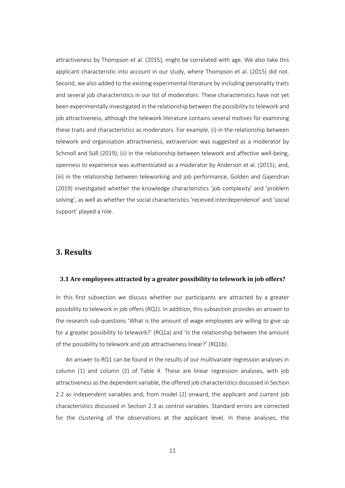attractiveness by Thompson et al. (2015), might be correlated with age. We also take this applicant characteristic into account in our study, where Thompson et al. (2015) did not. Second, we also added to the existing experimental literature by including personality traits and several job characteristics in our list of moderators. These characteristics have not yet been experimentally investigated in the relationship between the possibility to telework and job attractiveness, although the telework literature contains several motives for examining these traits and characteristics as moderators. For example, (i) in the relationship between telework and organisation attractiveness, extraversion was suggested as a moderator by Schmoll and Süß (2019); (ii) in the relationship between telework and affective well-being, openness to experience was authenticated as a moderator by Anderson et al. (2015); and, (iii) in the relationship between teleworking and job performance, Golden and Gajendran (2019) investigated whether the knowledge characteristics 'job complexity' and 'problem solving', as well as whether the social characteristics 'received interdependence' and 'social support' played a role.

## **3. Results**

#### **3.1 Are employees attracted by a greater possibility to telework in job offers?**

In this first subsection we discuss whether our participants are attracted by a greater possibility to telework in job offers (RQ1). In addition, this subsection provides an answer to the research sub-questions 'What is the amount of wage employees are willing to give up for a greater possibility to telework?' (RQ1a) and 'Is the relationship between the amount of the possibility to telework and job attractiveness linear?' (RQ1b).

An answer to RQ1 can be found in the results of our multivariate regression analyses in column (1) and column (2) of Table 4. These are linear regression analyses, with job attractiveness as the dependent variable, the offered job characteristics discussed in Section 2.2 as independent variables and, from model (2) onward, the applicant and current job characteristics discussed in Section 2.3 as control variables. Standard errors are corrected for the clustering of the observations at the applicant level. In these analyses, the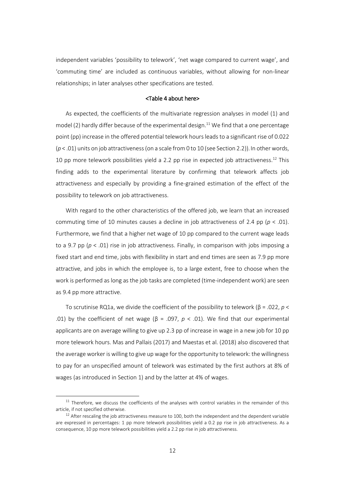independent variables 'possibility to telework', 'net wage compared to current wage', and 'commuting time' are included as continuous variables, without allowing for non-linear relationships; in later analyses other specifications are tested.

## <Table 4 about here>

As expected, the coefficients of the multivariate regression analyses in model (1) and model (2) hardly differ because of the experimental design.<sup>11</sup> We find that a one percentage point (pp) increase in the offered potential telework hours leads to a significant rise of 0.022 ( $p$  < .01) units on job attractiveness (on a scale from 0 to 10 (see Section 2.2)). In other words, 10 pp more telework possibilities yield a 2.2 pp rise in expected job attractiveness.<sup>12</sup> This finding adds to the experimental literature by confirming that telework affects job attractiveness and especially by providing a fine-grained estimation of the effect of the possibility to telework on job attractiveness.

With regard to the other characteristics of the offered job, we learn that an increased commuting time of 10 minutes causes a decline in job attractiveness of 2.4 pp (*p* < .01). Furthermore, we find that a higher net wage of 10 pp compared to the current wage leads to a 9.7 pp (*p* < .01) rise in job attractiveness. Finally, in comparison with jobs imposing a fixed start and end time, jobs with flexibility in start and end times are seen as 7.9 pp more attractive, and jobs in which the employee is, to a large extent, free to choose when the work is performed as long as the job tasks are completed (time-independent work) are seen as 9.4 pp more attractive.

To scrutinise RQ1a, we divide the coefficient of the possibility to telework (β = .022, *p* < .01) by the coefficient of net wage ( $β = .097$ ,  $p < .01$ ). We find that our experimental applicants are on average willing to give up 2.3 pp of increase in wage in a new job for 10 pp more telework hours. Mas and Pallais (2017) and Maestas et al. (2018) also discovered that the average worker is willing to give up wage for the opportunity to telework: the willingness to pay for an unspecified amount of telework was estimated by the first authors at 8% of wages (as introduced in Section 1) and by the latter at 4% of wages.

1

 $11$  Therefore, we discuss the coefficients of the analyses with control variables in the remainder of this article, if not specified otherwise.

 $12$  After rescaling the job attractiveness measure to 100, both the independent and the dependent variable are expressed in percentages: 1 pp more telework possibilities yield a 0.2 pp rise in job attractiveness. As a consequence, 10 pp more telework possibilities yield a 2.2 pp rise in job attractiveness.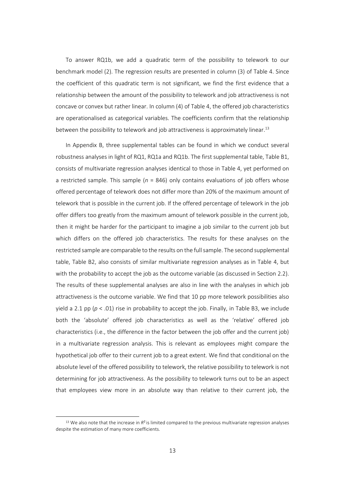To answer RQ1b, we add a quadratic term of the possibility to telework to our benchmark model (2). The regression results are presented in column (3) of Table 4. Since the coefficient of this quadratic term is not significant, we find the first evidence that a relationship between the amount of the possibility to telework and job attractiveness is not concave or convex but rather linear. In column (4) of Table 4, the offered job characteristics are operationalised as categorical variables. The coefficients confirm that the relationship between the possibility to telework and job attractiveness is approximately linear.<sup>13</sup>

In Appendix B, three supplemental tables can be found in which we conduct several robustness analyses in light of RQ1, RQ1a and RQ1b. The first supplemental table, Table B1, consists of multivariate regression analyses identical to those in Table 4, yet performed on a restricted sample. This sample (*n* = 846) only contains evaluations of job offers whose offered percentage of telework does not differ more than 20% of the maximum amount of telework that is possible in the current job. If the offered percentage of telework in the job offer differs too greatly from the maximum amount of telework possible in the current job, then it might be harder for the participant to imagine a job similar to the current job but which differs on the offered job characteristics. The results for these analyses on the restricted sample are comparable to the results on the full sample. The second supplemental table, Table B2, also consists of similar multivariate regression analyses as in Table 4, but with the probability to accept the job as the outcome variable (as discussed in Section 2.2). The results of these supplemental analyses are also in line with the analyses in which job attractiveness is the outcome variable. We find that 10 pp more telework possibilities also yield a 2.1 pp (*p* < .01) rise in probability to accept the job. Finally, in Table B3, we include both the 'absolute' offered job characteristics as well as the 'relative' offered job characteristics (i.e., the difference in the factor between the job offer and the current job) in a multivariate regression analysis. This is relevant as employees might compare the hypothetical job offer to their current job to a great extent. We find that conditional on the absolute level of the offered possibility to telework, the relative possibility to telework is not determining for job attractiveness. As the possibility to telework turns out to be an aspect that employees view more in an absolute way than relative to their current job, the

-

<sup>&</sup>lt;sup>13</sup> We also note that the increase in  $R^2$  is limited compared to the previous multivariate regression analyses despite the estimation of many more coefficients.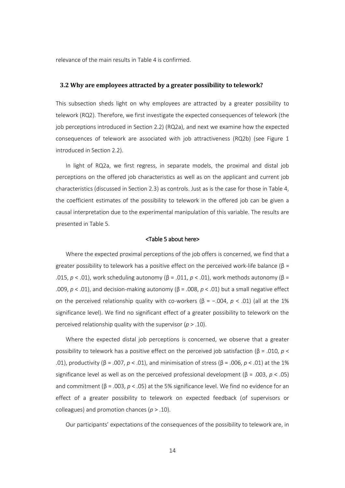relevance of the main results in Table 4 is confirmed.

## **3.2 Why are employees attracted by a greater possibility to telework?**

This subsection sheds light on why employees are attracted by a greater possibility to telework (RQ2). Therefore, we first investigate the expected consequences of telework (the job perceptions introduced in Section 2.2) (RQ2a), and next we examine how the expected consequences of telework are associated with job attractiveness (RQ2b) (see Figure 1 introduced in Section 2.2).

In light of RQ2a, we first regress, in separate models, the proximal and distal job perceptions on the offered job characteristics as well as on the applicant and current job characteristics (discussed in Section 2.3) as controls. Just as is the case for those in Table 4, the coefficient estimates of the possibility to telework in the offered job can be given a causal interpretation due to the experimental manipulation of this variable. The results are presented in Table 5.

#### <Table 5 about here>

Where the expected proximal perceptions of the job offers is concerned, we find that a greater possibility to telework has a positive effect on the perceived work-life balance ( $\beta$  = .015, *p* < .01), work scheduling autonomy (β = .011, *p* < .01), work methods autonomy (β = .009, *p* < .01), and decision-making autonomy (β = .008, *p* < .01) but a small negative effect on the perceived relationship quality with co-workers (β = -.004, *p* < .01) (all at the 1% significance level). We find no significant effect of a greater possibility to telework on the perceived relationship quality with the supervisor (*p* > .10).

Where the expected distal job perceptions is concerned, we observe that a greater possibility to telework has a positive effect on the perceived job satisfaction (β = .010, *p* < .01), productivity (β = .007, *p* < .01), and minimisation of stress (β = .006, *p* < .01) at the 1% significance level as well as on the perceived professional development (β = .003, *p* < .05) and commitment (β = .003,  $p <$  .05) at the 5% significance level. We find no evidence for an effect of a greater possibility to telework on expected feedback (of supervisors or colleagues) and promotion chances (*p* > .10).

Our participants' expectations of the consequences of the possibility to telework are, in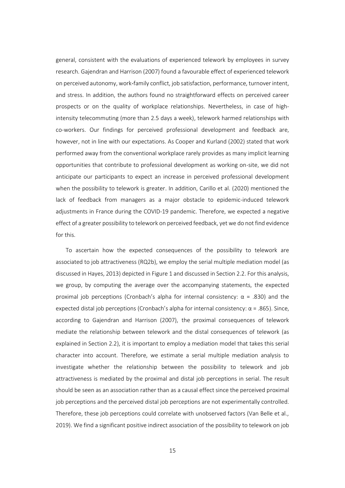general, consistent with the evaluations of experienced telework by employees in survey research. Gajendran and Harrison (2007) found a favourable effect of experienced telework on perceived autonomy, work-family conflict, job satisfaction, performance, turnover intent, and stress. In addition, the authors found no straightforward effects on perceived career prospects or on the quality of workplace relationships. Nevertheless, in case of highintensity telecommuting (more than 2.5 days a week), telework harmed relationships with co-workers. Our findings for perceived professional development and feedback are, however, not in line with our expectations. As Cooper and Kurland (2002) stated that work performed away from the conventional workplace rarely provides as many implicit learning opportunities that contribute to professional development as working on-site, we did not anticipate our participants to expect an increase in perceived professional development when the possibility to telework is greater. In addition, Carillo et al. (2020) mentioned the lack of feedback from managers as a major obstacle to epidemic-induced telework adjustments in France during the COVID-19 pandemic. Therefore, we expected a negative effect of a greater possibility to telework on perceived feedback, yet we do not find evidence for this.

To ascertain how the expected consequences of the possibility to telework are associated to job attractiveness (RQ2b), we employ the serial multiple mediation model (as discussed in Hayes, 2013) depicted in Figure 1 and discussed in Section 2.2. For this analysis, we group, by computing the average over the accompanying statements, the expected proximal job perceptions (Cronbach's alpha for internal consistency: α = .830) and the expected distal job perceptions (Cronbach's alpha for internal consistency: α = .865). Since, according to Gajendran and Harrison (2007), the proximal consequences of telework mediate the relationship between telework and the distal consequences of telework (as explained in Section 2.2), it is important to employ a mediation model that takes this serial character into account. Therefore, we estimate a serial multiple mediation analysis to investigate whether the relationship between the possibility to telework and job attractiveness is mediated by the proximal and distal job perceptions in serial. The result should be seen as an association rather than as a causal effect since the perceived proximal job perceptions and the perceived distal job perceptions are not experimentally controlled. Therefore, these job perceptions could correlate with unobserved factors (Van Belle et al., 2019). We find a significant positive indirect association of the possibility to telework on job

15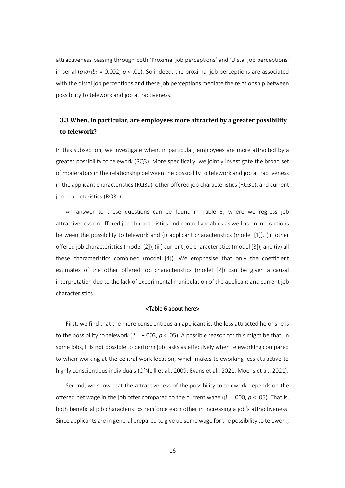attractiveness passing through both 'Proximal job perceptions' and 'Distal job perceptions' in serial  $(a_1d_{21}b_2 = 0.002, p < .01)$ . So indeed, the proximal job perceptions are associated with the distal job perceptions and these job perceptions mediate the relationship between possibility to telework and job attractiveness.

## **3.3 When, in particular, are employees more attracted by a greater possibility to telework?**

In this subsection, we investigate when, in particular, employees are more attracted by a greater possibility to telework (RQ3). More specifically, we jointly investigate the broad set of moderators in the relationship between the possibility to telework and job attractiveness in the applicant characteristics (RQ3a), other offered job characteristics (RQ3b), and current job characteristics (RQ3c).

An answer to these questions can be found in Table 6, where we regress job attractiveness on offered job characteristics and control variables as well as on interactions between the possibility to telework and (i) applicant characteristics (model [1]), (ii) other offered job characteristics (model [2]), (iii) current job characteristics (model [3]), and (iv) all these characteristics combined (model [4]). We emphasise that only the coefficient estimates of the other offered job characteristics (model [2]) can be given a causal interpretation due to the lack of experimental manipulation of the applicant and current job characteristics.

#### <Table 6 about here>

First, we find that the more conscientious an applicant is, the less attracted he or she is to the possibility to telework ( $β = -.003$ ,  $p < .05$ ). A possible reason for this might be that, in some jobs, it is not possible to perform job tasks as effectively when teleworking compared to when working at the central work location, which makes teleworking less attractive to highly conscientious individuals (O'Neill et al., 2009; Evans et al., 2021; Moens et al., 2021).

Second, we show that the attractiveness of the possibility to telework depends on the offered net wage in the job offer compared to the current wage (β = .000, *p* < .05). That is, both beneficial job characteristics reinforce each other in increasing a job's attractiveness. Since applicants are in general prepared to give up some wage for the possibility to telework,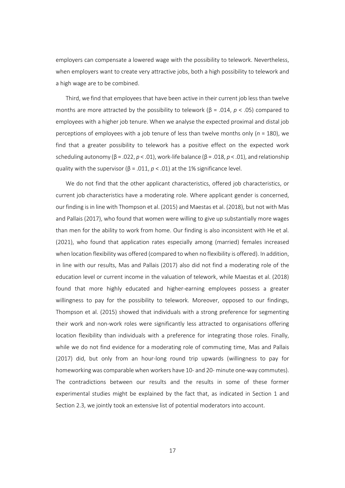employers can compensate a lowered wage with the possibility to telework. Nevertheless, when employers want to create very attractive jobs, both a high possibility to telework and a high wage are to be combined.

Third, we find that employees that have been active in their current job less than twelve months are more attracted by the possibility to telework (β = .014, *p* < .05) compared to employees with a higher job tenure. When we analyse the expected proximal and distal job perceptions of employees with a job tenure of less than twelve months only (*n* = 180), we find that a greater possibility to telework has a positive effect on the expected work scheduling autonomy (β = .022, *p* < .01), work-life balance (β = .018, *p* < .01), and relationship quality with the supervisor ( $\beta$  = .011,  $p$  < .01) at the 1% significance level.

We do not find that the other applicant characteristics, offered job characteristics, or current job characteristics have a moderating role. Where applicant gender is concerned, our finding is in line with Thompson et al. (2015) and Maestas et al. (2018), but not with Mas and Pallais (2017), who found that women were willing to give up substantially more wages than men for the ability to work from home. Our finding is also inconsistent with He et al. (2021), who found that application rates especially among (married) females increased when location flexibility was offered (compared to when no flexibility is offered). In addition, in line with our results, Mas and Pallais (2017) also did not find a moderating role of the education level or current income in the valuation of telework, while Maestas et al. (2018) found that more highly educated and higher-earning employees possess a greater willingness to pay for the possibility to telework. Moreover, opposed to our findings, Thompson et al. (2015) showed that individuals with a strong preference for segmenting their work and non-work roles were significantly less attracted to organisations offering location flexibility than individuals with a preference for integrating those roles. Finally, while we do not find evidence for a moderating role of commuting time, Mas and Pallais (2017) did, but only from an hour-long round trip upwards (willingness to pay for homeworking was comparable when workers have 10- and 20- minute one-way commutes). The contradictions between our results and the results in some of these former experimental studies might be explained by the fact that, as indicated in Section 1 and Section 2.3, we jointly took an extensive list of potential moderators into account.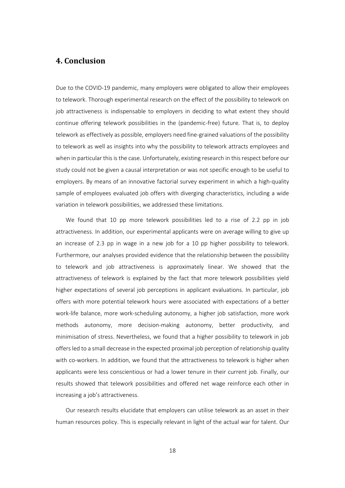## **4. Conclusion**

Due to the COVID-19 pandemic, many employers were obligated to allow their employees to telework. Thorough experimental research on the effect of the possibility to telework on job attractiveness is indispensable to employers in deciding to what extent they should continue offering telework possibilities in the (pandemic-free) future. That is, to deploy telework as effectively as possible, employers need fine-grained valuations of the possibility to telework as well as insights into why the possibility to telework attracts employees and when in particular this is the case. Unfortunately, existing research in this respect before our study could not be given a causal interpretation or was not specific enough to be useful to employers. By means of an innovative factorial survey experiment in which a high-quality sample of employees evaluated job offers with diverging characteristics, including a wide variation in telework possibilities, we addressed these limitations.

We found that 10 pp more telework possibilities led to a rise of 2.2 pp in job attractiveness. In addition, our experimental applicants were on average willing to give up an increase of 2.3 pp in wage in a new job for a 10 pp higher possibility to telework. Furthermore, our analyses provided evidence that the relationship between the possibility to telework and job attractiveness is approximately linear. We showed that the attractiveness of telework is explained by the fact that more telework possibilities yield higher expectations of several job perceptions in applicant evaluations. In particular, job offers with more potential telework hours were associated with expectations of a better work-life balance, more work-scheduling autonomy, a higher job satisfaction, more work methods autonomy, more decision-making autonomy, better productivity, and minimisation of stress. Nevertheless, we found that a higher possibility to telework in job offers led to a small decrease in the expected proximal job perception of relationship quality with co-workers. In addition, we found that the attractiveness to telework is higher when applicants were less conscientious or had a lower tenure in their current job. Finally, our results showed that telework possibilities and offered net wage reinforce each other in increasing a job's attractiveness.

Our research results elucidate that employers can utilise telework as an asset in their human resources policy. This is especially relevant in light of the actual war for talent. Our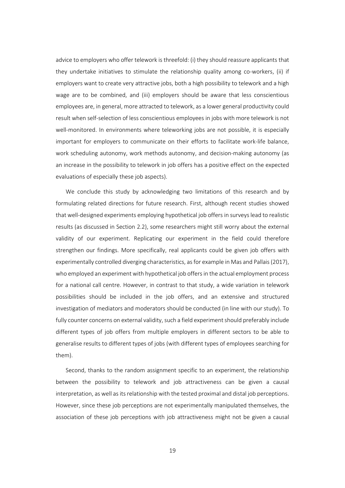advice to employers who offer telework is threefold: (i) they should reassure applicants that they undertake initiatives to stimulate the relationship quality among co-workers, (ii) if employers want to create very attractive jobs, both a high possibility to telework and a high wage are to be combined, and (iii) employers should be aware that less conscientious employees are, in general, more attracted to telework, as a lower general productivity could result when self-selection of less conscientious employees in jobs with more telework is not well-monitored. In environments where teleworking jobs are not possible, it is especially important for employers to communicate on their efforts to facilitate work-life balance, work scheduling autonomy, work methods autonomy, and decision-making autonomy (as an increase in the possibility to telework in job offers has a positive effect on the expected evaluations of especially these job aspects).

We conclude this study by acknowledging two limitations of this research and by formulating related directions for future research. First, although recent studies showed that well-designed experiments employing hypothetical job offers in surveyslead to realistic results (as discussed in Section 2.2), some researchers might still worry about the external validity of our experiment. Replicating our experiment in the field could therefore strengthen our findings. More specifically, real applicants could be given job offers with experimentally controlled diverging characteristics, as for example in Mas and Pallais (2017), who employed an experiment with hypothetical job offers in the actual employment process for a national call centre. However, in contrast to that study, a wide variation in telework possibilities should be included in the job offers, and an extensive and structured investigation of mediators and moderators should be conducted (in line with our study). To fully counter concerns on external validity, such a field experiment should preferably include different types of job offers from multiple employers in different sectors to be able to generalise results to different types of jobs (with different types of employees searching for them).

Second, thanks to the random assignment specific to an experiment, the relationship between the possibility to telework and job attractiveness can be given a causal interpretation, as well as its relationship with the tested proximal and distal job perceptions. However, since these job perceptions are not experimentally manipulated themselves, the association of these job perceptions with job attractiveness might not be given a causal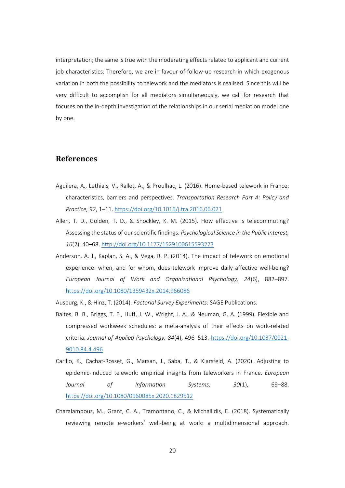interpretation; the same is true with the moderating effects related to applicant and current job characteristics. Therefore, we are in favour of follow-up research in which exogenous variation in both the possibility to telework and the mediators is realised. Since this will be very difficult to accomplish for all mediators simultaneously, we call for research that focuses on the in-depth investigation of the relationships in our serial mediation model one by one.

## **References**

- Aguilera, A., Lethiais, V., Rallet, A., & Proulhac, L. (2016). Home-based telework in France: characteristics, barriers and perspectives. *Transportation Research Part A: Policy and Practice, 92*, 1–11.<https://doi.org/10.1016/j.tra.2016.06.021>
- Allen, T. D., Golden, T. D., & Shockley, K. M. (2015). How effective is telecommuting? Assessing the status of our scientific findings. *Psychological Science in the Public Interest, 16*(2), 40–68.<http://doi.org/10.1177/1529100615593273>
- Anderson, A. J., Kaplan, S. A., & Vega, R. P. (2014). The impact of telework on emotional experience: when, and for whom, does telework improve daily affective well-being? *European Journal of Work and Organizational Psychology, 24*(6), 882–897. <https://doi.org/10.1080/1359432x.2014.966086>
- Auspurg, K., & Hinz, T. (2014). *Factorial Survey Experiments*. SAGE Publications.
- Baltes, B. B., Briggs, T. E., Huff, J. W., Wright, J. A., & Neuman, G. A. (1999). Flexible and compressed workweek schedules: a meta-analysis of their effects on work-related criteria. *Journal of Applied Psychology, 84*(4), 496–513. [https://doi.org/10.1037/0021-](https://doi.org/10.1037/0021-9010.84.4.496) [9010.84.4.496](https://doi.org/10.1037/0021-9010.84.4.496)
- Carillo, K., Cachat-Rosset, G., Marsan, J., Saba, T., & Klarsfeld, A. (2020). Adjusting to epidemic-induced telework: empirical insights from teleworkers in France. *European Journal of Information Systems, 30*(1), 69–88. <https://doi.org/10.1080/0960085x.2020.1829512>
- Charalampous, M., Grant, C. A., Tramontano, C., & Michailidis, E. (2018). Systematically reviewing remote e-workers' well-being at work: a multidimensional approach.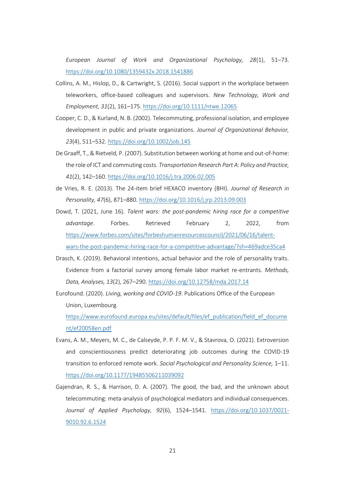*European Journal of Work and Organizational Psychology, 28*(1), 51–73. <https://doi.org/10.1080/1359432x.2018.1541886>

- Collins, A. M., Hislop, D., & Cartwright, S. (2016). Social support in the workplace between teleworkers, office-based colleagues and supervisors. *New Technology, Work and Employment, 31*(2), 161–175.<https://doi.org/10.1111/ntwe.12065>
- Cooper, C. D., & Kurland, N. B. (2002). Telecommuting, professional isolation, and employee development in public and private organizations. *Journal of Organizational Behavior, 23*(4), 511–532.<https://doi.org/10.1002/job.145>
- De Graaff, T., & Rietveld, P. (2007). Substitution between working at home and out-of-home: the role of ICT and commuting costs. *Transportation Research Part A: Policy and Practice, 41*(2), 142–160.<https://doi.org/10.1016/j.tra.2006.02.005>
- de Vries, R. E. (2013). The 24-item brief HEXACO inventory (BHI). *Journal of Research in Personality, 47*(6), 871–880.<https://doi.org/10.1016/j.jrp.2013.09.003>
- Dowd, T. (2021, June 16). *Talent wars: the post-pandemic hiring race for a competitive advantage*. Forbes. Retrieved February 2, 2022, from [https://www.forbes.com/sites/forbeshumanresourcescouncil/2021/06/16/talent](https://www.forbes.com/sites/forbeshumanresourcescouncil/2021/06/16/talent-wars-the-post-pandemic-hiring-race-for-a-competitive-advantage/?sh=469adce35ca4)[wars-the-post-pandemic-hiring-race-for-a-competitive-advantage/?sh=469adce35ca4](https://www.forbes.com/sites/forbeshumanresourcescouncil/2021/06/16/talent-wars-the-post-pandemic-hiring-race-for-a-competitive-advantage/?sh=469adce35ca4)
- Drasch, K. (2019). Behavioral intentions, actual behavior and the role of personality traits. Evidence from a factorial survey among female labor market re-entrants. *Methods, Data, Analyses, 13*(2), 267–290.<https://doi.org/10.12758/mda.2017.14>
- Eurofound. (2020). *Living, working and COVID-19*. Publications Office of the European Union, Luxembourg. [https://www.eurofound.europa.eu/sites/default/files/ef\\_publication/field\\_ef\\_docume](https://www.eurofound.europa.eu/sites/default/files/ef_publication/field_ef_document/ef20058en.pdf) [nt/ef20058en.pdf](https://www.eurofound.europa.eu/sites/default/files/ef_publication/field_ef_document/ef20058en.pdf)
- Evans, A. M., Meyers, M. C., de Calseyde, P. P. F. M. V., & Stavrova, O. (2021). Extroversion and conscientiousness predict deteriorating job outcomes during the COVID-19 transition to enforced remote work. *Social Psychological and Personality Science,* 1–11. <https://doi.org/10.1177/19485506211039092>
- Gajendran, R. S., & Harrison, D. A. (2007). The good, the bad, and the unknown about telecommuting: meta-analysis of psychological mediators and individual consequences. *Journal of Applied Psychology, 92*(6), 1524–1541. [https://doi.org/10.1037/0021-](https://doi.org/10.1037/0021-9010.92.6.1524) [9010.92.6.1524](https://doi.org/10.1037/0021-9010.92.6.1524)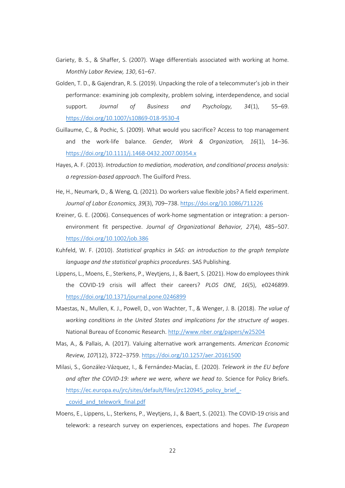- Gariety, B. S., & Shaffer, S. (2007). Wage differentials associated with working at home. *Monthly Labor Review, 130*, 61–67.
- Golden, T. D., & Gajendran, R. S. (2019). Unpacking the role of a telecommuter's job in their performance: examining job complexity, problem solving, interdependence, and social support. *Journal of Business and Psychology, 34*(1), 55–69. <https://doi.org/10.1007/s10869-018-9530-4>
- Guillaume, C., & Pochic, S. (2009). What would you sacrifice? Access to top management and the work-life balance. *Gender, Work & Organization, 16*(1), 14–36. <https://doi.org/10.1111/j.1468-0432.2007.00354.x>
- Hayes, A. F. (2013). *Introduction to mediation, moderation, and conditional process analysis: a regression-based approach*. The Guilford Press.
- He, H., Neumark, D., & Weng, Q. (2021). Do workers value flexible jobs? A field experiment. *Journal of Labor Economics, 39*(3), 709–738.<https://doi.org/10.1086/711226>
- Kreiner, G. E. (2006). Consequences of work-home segmentation or integration: a personenvironment fit perspective. *Journal of Organizational Behavior, 27*(4), 485–507. <https://doi.org/10.1002/job.386>
- Kuhfeld, W. F. (2010). *Statistical graphics in SAS: an introduction to the graph template language and the statistical graphics procedures*. SAS Publishing.
- Lippens, L., Moens, E., Sterkens, P., Weytjens, J., & Baert, S. (2021). How do employees think the COVID-19 crisis will affect their careers? *PLOS ONE, 16*(5), e0246899. <https://doi.org/10.1371/journal.pone.0246899>
- Maestas, N., Mullen, K. J., Powell, D., von Wachter, T., & Wenger, J. B. (2018). *The value of working conditions in the United States and implications for the structure of wages*. National Bureau of Economic Research.<http://www.nber.org/papers/w25204>
- Mas, A., & Pallais, A. (2017). Valuing alternative work arrangements. *American Economic Review, 107*(12), 3722–3759.<https://doi.org/10.1257/aer.20161500>
- Milasi, S., González-Vázquez, I., & Fernández-Macías, E. (2020). *Telework in the EU before and after the COVID-19: where we were, where we head to*. Science for Policy Briefs. [https://ec.europa.eu/jrc/sites/default/files/jrc120945\\_policy\\_brief\\_-](https://ec.europa.eu/jrc/sites/default/files/jrc120945_policy_brief_-_covid_and_telework_final.pdf) [\\_covid\\_and\\_telework\\_final.pdf](https://ec.europa.eu/jrc/sites/default/files/jrc120945_policy_brief_-_covid_and_telework_final.pdf)
- Moens, E., Lippens, L., Sterkens, P., Weytjens, J., & Baert, S. (2021). The COVID-19 crisis and telework: a research survey on experiences, expectations and hopes. *The European*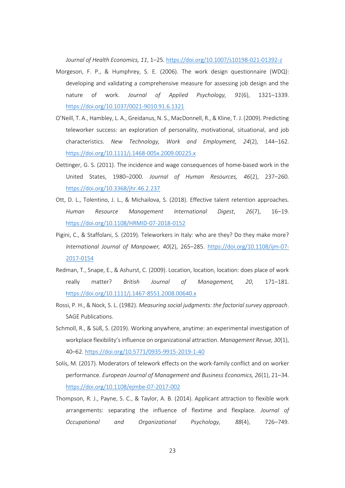*Journal of Health Economics, 11*, 1–25. <https://doi.org/10.1007/s10198-021-01392-z>

- Morgeson, F. P., & Humphrey, S. E. (2006). The work design questionnaire (WDQ): developing and validating a comprehensive measure for assessing job design and the nature of work. *Journal of Applied Psychology, 91*(6), 1321–1339. <https://doi.org/10.1037/0021-9010.91.6.1321>
- O'Neill, T. A., Hambley, L. A., Greidanus, N. S., MacDonnell, R., & Kline, T. J. (2009). Predicting teleworker success: an exploration of personality, motivational, situational, and job characteristics. *New Technology, Work and Employment, 24*(2), 144–162. <https://doi.org/10.1111/j.1468-005x.2009.00225.x>
- Oettinger, G. S. (2011). The incidence and wage consequences of home-based work in the United States, 1980–2000. *Journal of Human Resources, 46*(2), 237–260. <https://doi.org/10.3368/jhr.46.2.237>
- Ott, D. L., Tolentino, J. L., & Michailova, S. (2018). Effective talent retention approaches. *Human Resource Management International Digest*, *26*(7), 16–19. <https://doi.org/10.1108/HRMID-07-2018-0152>
- Pigini, C., & Staffolani, S. (2019). Teleworkers in Italy: who are they? Do they make more? *International Journal of Manpower, 40*(2), 265–285. [https://doi.org/10.1108/ijm-07-](https://doi.org/10.1108/ijm-07-2017-0154) [2017-0154](https://doi.org/10.1108/ijm-07-2017-0154)
- Redman, T., Snape, E., & Ashurst, C. (2009). Location, location, location: does place of work really matter? *British Journal of Management, 20*, 171–181. <https://doi.org/10.1111/j.1467-8551.2008.00640.x>
- Rossi, P. H., & Nock, S. L. (1982). *Measuring social judgments: the factorial survey approach*. SAGE Publications.
- Schmoll, R., & Süß, S. (2019). Working anywhere, anytime: an experimental investigation of workplace flexibility's influence on organizational attraction. *Management Revue, 30*(1), 40–62[. https://doi.org/10.5771/0935-9915-2019-1-40](https://doi.org/10.5771/0935-9915-2019-1-40)
- Solís, M. (2017). Moderators of telework effects on the work-family conflict and on worker performance. *European Journal of Management and Business Economics, 26*(1), 21–34. <https://doi.org/10.1108/ejmbe-07-2017-002>
- Thompson, R. J., Payne, S. C., & Taylor, A. B. (2014). Applicant attraction to flexible work arrangements: separating the influence of flextime and flexplace. *Journal of Occupational and Organizational Psychology, 88*(4), 726–749.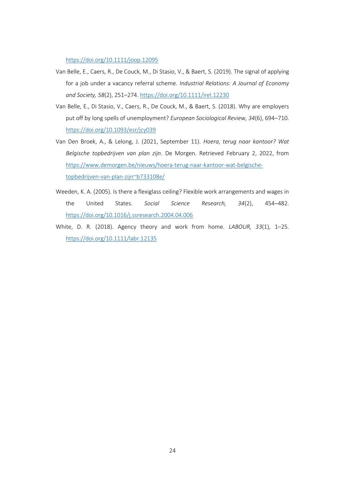<https://doi.org/10.1111/joop.12095>

- Van Belle, E., Caers, R., De Couck, M., Di Stasio, V., & Baert, S. (2019). The signal of applying for a job under a vacancy referral scheme. *Industrial Relations: A Journal of Economy and Society, 58*(2), 251–274[. https://doi.org/10.1111/irel.12230](https://doi.org/10.1111/irel.12230)
- Van Belle, E., Di Stasio, V., Caers, R., De Couck, M., & Baert, S. (2018). Why are employers put off by long spells of unemployment? *European Sociological Review, 34*(6), 694–710. <https://doi.org/10.1093/esr/jcy039>
- Van Den Broek, A., & Lelong, J. (2021, September 11). *Hoera, terug naar kantoor? Wat Belgische topbedrijven van plan zijn*. De Morgen. Retrieved February 2, 2022, from [https://www.demorgen.be/nieuws/hoera-terug-naar-kantoor-wat-belgische](https://www.demorgen.be/nieuws/hoera-terug-naar-kantoor-wat-belgische-topbedrijven-van-plan-zijn~b733108e/)[topbedrijven-van-plan-zijn~b733108e/](https://www.demorgen.be/nieuws/hoera-terug-naar-kantoor-wat-belgische-topbedrijven-van-plan-zijn~b733108e/)
- Weeden, K. A. (2005). Is there a flexiglass ceiling? Flexible work arrangements and wages in the United States. *Social Science Research, 34*(2), 454–482. <https://doi.org/10.1016/j.ssresearch.2004.04.006>
- White, D. R. (2018). Agency theory and work from home. *LABOUR, 33*(1), 1–25. <https://doi.org/10.1111/labr.12135>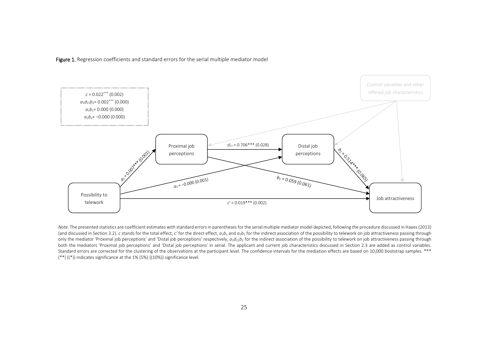Figure 1. Regression coefficients and standard errors for the serial multiple mediator model



*Note*. The presented statistics are coefficient estimates with standard errors in parentheses for the serial multiple mediator model depicted, following the procedure discussed in Hayes (2013) (and discussed in Section 3.2). c stands for the total effect, c' for the direct effect,  $a_1b_1$  and  $a_2b_2$  for the indirect association of the possibility to telework on job attractiveness passing through only the mediator 'Proximal job perceptions' and 'Distal job perceptions' respectively,  $a_1d_{21}b_2$  for the indirect association of the possibility to telework on job attractiveness passing through both the mediators 'Proximal job perceptions' and 'Distal job perceptions' in serial. The applicant and current job characteristics discussed in Section 2.3 are added as control variables. Standard errors are corrected for the clustering of the observations at the participant level. The confidence intervals for the mediation effects are based on 10,000 bootstrap samples. \*\*\*  $(**)$   $((*)$ ) indicates significance at the 1% (5%)  $((10%))$  significance level.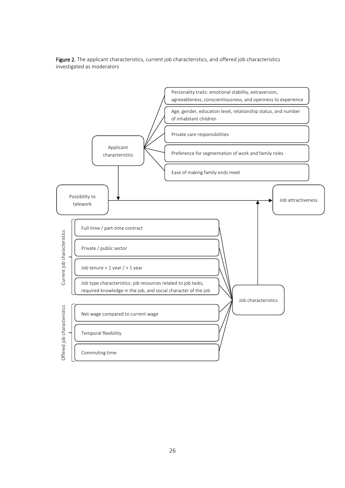

Figure 2. The applicant characteristics, current job characteristics, and offered job characteristics investigated as moderators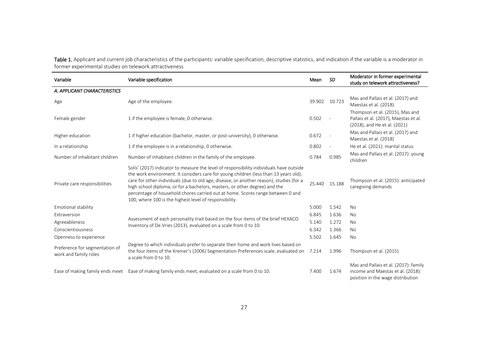Table 1. Applicant and current job characteristics of the participants: variable specification, descriptive statistics, and indication if the variable is a moderator in former experimental studies on telework attractiveness

| Variable                                                | Variable specification                                                                                                                                                                                                                                                                                                                                                                                                                                                                               | Mean   | <b>SD</b>     | Moderator in former experimental<br>study on telework attractiveness?                                           |
|---------------------------------------------------------|------------------------------------------------------------------------------------------------------------------------------------------------------------------------------------------------------------------------------------------------------------------------------------------------------------------------------------------------------------------------------------------------------------------------------------------------------------------------------------------------------|--------|---------------|-----------------------------------------------------------------------------------------------------------------|
| A. APPLICANT CHARACTERISTICS                            |                                                                                                                                                                                                                                                                                                                                                                                                                                                                                                      |        |               |                                                                                                                 |
| Age                                                     | Age of the employee.                                                                                                                                                                                                                                                                                                                                                                                                                                                                                 |        | 39.902 10.723 | Mas and Pallais et al. (2017) and<br>Maestas et al. (2018)                                                      |
| Female gender                                           | 1 if the employee is female, 0 otherwise.                                                                                                                                                                                                                                                                                                                                                                                                                                                            | 0.502  |               | Thompson et al. (2015), Mas and<br>Pallais et al. (2017), Maestas et al.<br>(2018), and He et al. (2021)        |
| Higher education                                        | 1 if higher education (bachelor, master, or post-university), 0 otherwise.                                                                                                                                                                                                                                                                                                                                                                                                                           | 0.672  |               | Mas and Pallais et al. (2017) and<br>Maestas et al. (2018)                                                      |
| In a relationship                                       | 1 if the employee is in a relationship, 0 otherwise.                                                                                                                                                                                                                                                                                                                                                                                                                                                 | 0.802  |               | He et al. (2021): marital status                                                                                |
| Number of inhabitant children                           | Number of inhabitant children in the family of the employee.                                                                                                                                                                                                                                                                                                                                                                                                                                         | 0.784  | 0.985         | Mas and Pallais et al. (2017): young<br>children                                                                |
| Private care responsibilities                           | Solís' (2017) indicator to measure the level of responsibility individuals have outside<br>the work environment. It considers care for young children (less than 13 years old),<br>care for other individuals (due to old age, disease, or another reason), studies (for a<br>high school diploma, or for a bachelors, masters, or other degree) and the<br>percentage of household chores carried out at home. Scores range between 0 and<br>100, where 100 is the highest level of responsibility. | 25.440 | 15.188        | Thompson et al. (2015): anticipated<br>caregiving demands                                                       |
| Emotional stability                                     |                                                                                                                                                                                                                                                                                                                                                                                                                                                                                                      | 5.000  | 1.542         | <b>No</b>                                                                                                       |
| Extraversion                                            |                                                                                                                                                                                                                                                                                                                                                                                                                                                                                                      | 6.845  | 1.636         | <b>No</b>                                                                                                       |
| Agreeableness                                           | Assessment of each personality trait based on the four items of the brief HEXACO<br>Inventory of De Vries (2013), evaluated on a scale from 0 to 10.                                                                                                                                                                                                                                                                                                                                                 | 5.140  | 1.272         | <b>No</b>                                                                                                       |
| Conscientiousness                                       |                                                                                                                                                                                                                                                                                                                                                                                                                                                                                                      | 6.342  | 1.366         | <b>No</b>                                                                                                       |
| Openness to experience                                  |                                                                                                                                                                                                                                                                                                                                                                                                                                                                                                      | 5.502  | 1.645         | <b>No</b>                                                                                                       |
| Preference for segmentation of<br>work and family roles | Degree to which individuals prefer to separate their home and work lives based on<br>the four items of the Kreiner's (2006) Segmentation Preferences scale, evaluated on<br>a scale from 0 to 10.                                                                                                                                                                                                                                                                                                    | 7.214  | 1.996         | Thompson et al. (2015)                                                                                          |
|                                                         | Ease of making family ends meet Ease of making family ends meet, evaluated on a scale from 0 to 10.                                                                                                                                                                                                                                                                                                                                                                                                  | 7.400  | 1.674         | Mas and Pallais et al. (2017): family<br>income and Maestas et al. (2018):<br>position in the wage distribution |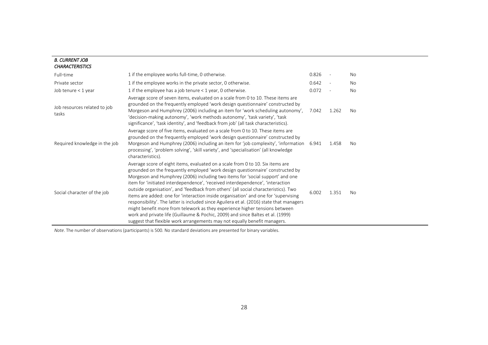#### *B. CURRENT JOB CHARACTERISTICS*

| Full-time                             | 1 if the employee works full-time, 0 otherwise.                                                                                                                                                                                                                                                                                                                                                                                                                                                                                                                                                                                                                                                                                                                                                                                                              | 0.826 |       | <b>No</b> |
|---------------------------------------|--------------------------------------------------------------------------------------------------------------------------------------------------------------------------------------------------------------------------------------------------------------------------------------------------------------------------------------------------------------------------------------------------------------------------------------------------------------------------------------------------------------------------------------------------------------------------------------------------------------------------------------------------------------------------------------------------------------------------------------------------------------------------------------------------------------------------------------------------------------|-------|-------|-----------|
| Private sector                        | 1 if the employee works in the private sector, 0 otherwise.                                                                                                                                                                                                                                                                                                                                                                                                                                                                                                                                                                                                                                                                                                                                                                                                  | 0.642 |       | No        |
| Job tenure < 1 year                   | 1 if the employee has a job tenure < 1 year, 0 otherwise.                                                                                                                                                                                                                                                                                                                                                                                                                                                                                                                                                                                                                                                                                                                                                                                                    | 0.072 |       | No        |
| Job resources related to job<br>tasks | Average score of seven items, evaluated on a scale from 0 to 10. These items are<br>grounded on the frequently employed 'work design questionnaire' constructed by<br>Morgeson and Humphrey (2006) including an item for 'work scheduling autonomy',<br>'decision-making autonomy', 'work methods autonomy', 'task variety', 'task<br>significance', 'task identity', and 'feedback from job' (all task characteristics).                                                                                                                                                                                                                                                                                                                                                                                                                                    | 7.042 | 1.262 | No.       |
| Required knowledge in the job         | Average score of five items, evaluated on a scale from 0 to 10. These items are<br>grounded on the frequently employed 'work design questionnaire' constructed by<br>Morgeson and Humphrey (2006) including an item for 'job complexity', 'information 6.941<br>processing', 'problem solving', 'skill variety', and 'specialisation' (all knowledge<br>characteristics).                                                                                                                                                                                                                                                                                                                                                                                                                                                                                    |       | 1.458 | No.       |
| Social character of the job           | Average score of eight items, evaluated on a scale from 0 to 10. Six items are<br>grounded on the frequently employed 'work design questionnaire' constructed by<br>Morgeson and Humphrey (2006) including two items for 'social support' and one<br>item for 'initiated interdependence', 'received interdependence', 'interaction<br>outside organisation', and 'feedback from others' (all social characteristics). Two<br>items are added: one for 'interaction inside organisation' and one for 'supervising<br>responsibility'. The latter is included since Aguilera et al. (2016) state that managers<br>might benefit more from telework as they experience higher tensions between<br>work and private life (Guillaume & Pochic, 2009) and since Baltes et al. (1999)<br>suggest that flexible work arrangements may not equally benefit managers. | 6.002 | 1.351 | No.       |

*Note*. The number of observations (participants) is 500. No standard deviations are presented for binary variables.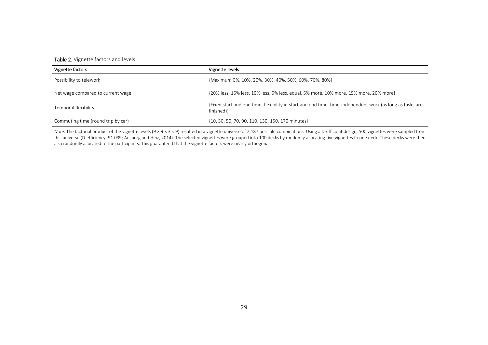## Table 2. Vignette factors and levels

| Vignette factors                   | Vignette levels                                                                                                         |
|------------------------------------|-------------------------------------------------------------------------------------------------------------------------|
| Possibility to telework            | {Maximum 0%, 10%, 20%, 30%, 40%, 50%, 60%, 70%, 80%}                                                                    |
| Net wage compared to current wage  | {20% less, 15% less, 10% less, 5% less, equal, 5% more, 10% more, 15% more, 20% more}                                   |
| Temporal flexibility               | {Fixed start and end time, flexibility in start and end time, time-independent work (as long as tasks are<br>finished)} |
| Commuting time (round trip by car) | {10, 30, 50, 70, 90, 110, 130, 150, 170 minutes}                                                                        |

*Note*. The factorial product of the vignette levels (9 × 9 × 3 × 9) resulted in a vignette universe of 2,187 possible combinations. Using a D-efficient design, 500 vignettes were sampled from this universe (D-efficiency: 91.039; Auspurg and Hinz, 2014). The selected vignettes were grouped into 100 decks by randomly allocating five vignettes to one deck. These decks were then also randomly allocated to the participants. This guaranteed that the vignette factors were nearly orthogonal.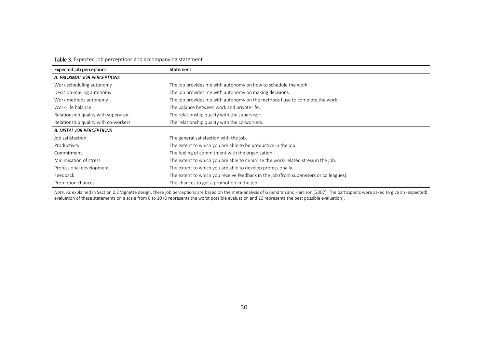Table 3. Expected job perceptions and accompanying statement

| Expected job perceptions             | Statement                                                                             |
|--------------------------------------|---------------------------------------------------------------------------------------|
| A. PROXIMAL JOB PERCEPTIONS          |                                                                                       |
| Work scheduling autonomy             | The job provides me with autonomy on how to schedule the work.                        |
| Decision-making autonomy             | The job provides me with autonomy on making decisions.                                |
| Work methods autonomy                | The job provides me with autonomy on the methods I use to complete the work.          |
| Work-life balance                    | The balance between work and private life.                                            |
| Relationship quality with supervisor | The relationship quality with the supervisor.                                         |
| Relationship quality with co-workers | The relationship quality with the co-workers.                                         |
| <b>B. DISTAL JOB PERCEPTIONS</b>     |                                                                                       |
| Job satisfaction                     | The general satisfaction with the job.                                                |
| Productivity                         | The extent to which you are able to be productive in the job.                         |
| Commitment                           | The feeling of commitment with the organisation.                                      |
| Minimisation of stress               | The extent to which you are able to minimise the work-related stress in the job.      |
| Professional development             | The extent to which you are able to develop professionally.                           |
| Feedback                             | The extent to which you receive feedback in the job (from supervisors or colleagues). |
| Promotion chances                    | The chances to get a promotion in the job.                                            |

*Note*. As explained in Section 2.2 Vignette design, these job perceptions are based on the meta-analysis of Gajendran and Harrison (2007). The participants were asked to give an (expected) evaluation of these statements on a scale from 0 to 10 (0 represents the worst possible evaluation and 10 represents the best possible evaluation).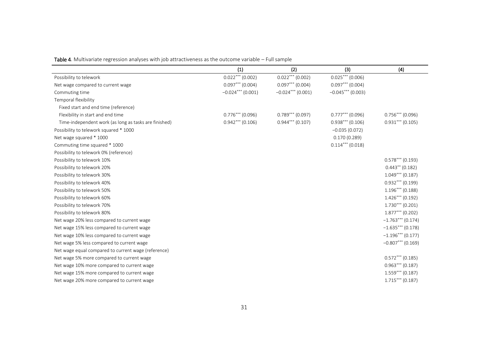|  | Table 4. Multivariate regression analyses with job attractiveness as the outcome variable - Full sample |
|--|---------------------------------------------------------------------------------------------------------|
|--|---------------------------------------------------------------------------------------------------------|

|                                                       | (1)                 | (2)                 | (3)                 | (4)                 |
|-------------------------------------------------------|---------------------|---------------------|---------------------|---------------------|
| Possibility to telework                               | $0.022***$ (0.002)  | $0.022***$ (0.002)  | $0.025***$ (0.006)  |                     |
| Net wage compared to current wage                     | $0.097***$ (0.004)  | $0.097***$ (0.004)  | $0.097***$ (0.004)  |                     |
| Commuting time                                        | $-0.024***$ (0.001) | $-0.024***$ (0.001) | $-0.045***$ (0.003) |                     |
| Temporal flexibility                                  |                     |                     |                     |                     |
| Fixed start and end time (reference)                  |                     |                     |                     |                     |
| Flexibility in start and end time                     | $0.776***$ (0.096)  | $0.789***$ (0.097)  | $0.777***$ (0.096)  | $0.756***$ (0.096)  |
| Time-independent work (as long as tasks are finished) | $0.942***$ (0.106)  | $0.944***$ (0.107)  | $0.938***$ (0.106)  | $0.931***$ (0.105)  |
| Possibility to telework squared * 1000                |                     |                     | $-0.035(0.072)$     |                     |
| Net wage squared * 1000                               |                     |                     | 0.170(0.289)        |                     |
| Commuting time squared * 1000                         |                     |                     | $0.114***$ (0.018)  |                     |
| Possibility to telework 0% (reference)                |                     |                     |                     |                     |
| Possibility to telework 10%                           |                     |                     |                     | $0.578***$ (0.193)  |
| Possibility to telework 20%                           |                     |                     |                     | $0.443**$ (0.182)   |
| Possibility to telework 30%                           |                     |                     |                     | $1.049***$ (0.187)  |
| Possibility to telework 40%                           |                     |                     |                     | $0.932***$ (0.199)  |
| Possibility to telework 50%                           |                     |                     |                     | $1.196***$ (0.188)  |
| Possibility to telework 60%                           |                     |                     |                     | $1.426***$ (0.192)  |
| Possibility to telework 70%                           |                     |                     |                     | $1.730***$ (0.201)  |
| Possibility to telework 80%                           |                     |                     |                     | $1.877***$ (0.202)  |
| Net wage 20% less compared to current wage            |                     |                     |                     | $-1.763***$ (0.174) |
| Net wage 15% less compared to current wage            |                     |                     |                     | $-1.635***$ (0.178) |
| Net wage 10% less compared to current wage            |                     |                     |                     | $-1.196***$ (0.177) |
| Net wage 5% less compared to current wage             |                     |                     |                     | $-0.807***$ (0.169) |
| Net wage equal compared to current wage (reference)   |                     |                     |                     |                     |
| Net wage 5% more compared to current wage             |                     |                     |                     | $0.572***$ (0.185)  |
| Net wage 10% more compared to current wage            |                     |                     |                     | $0.963***$ (0.187)  |
| Net wage 15% more compared to current wage            |                     |                     |                     | $1.559***$ (0.187)  |
| Net wage 20% more compared to current wage            |                     |                     |                     | $1.715***$ (0.187)  |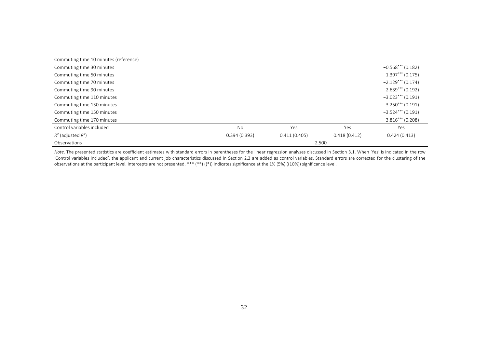| Commuting time 10 minutes (reference) |              |              |              |                     |
|---------------------------------------|--------------|--------------|--------------|---------------------|
| Commuting time 30 minutes             |              |              |              | $-0.568***$ (0.182) |
| Commuting time 50 minutes             |              |              |              | $-1.397***$ (0.175) |
| Commuting time 70 minutes             |              |              |              | $-2.129***$ (0.174) |
| Commuting time 90 minutes             |              |              |              | $-2.639***$ (0.192) |
| Commuting time 110 minutes            |              |              |              | $-3.023***$ (0.191) |
| Commuting time 130 minutes            |              |              |              | $-3.250***$ (0.191) |
| Commuting time 150 minutes            |              |              |              | $-3.524***$ (0.191) |
| Commuting time 170 minutes            |              |              |              | $-3.816***$ (0.208) |
| Control variables included            | <b>No</b>    | <b>Yes</b>   | Yes          | Yes                 |
| $R^2$ (adjusted $R^2$ )               | 0.394(0.393) | 0.411(0.405) | 0.418(0.412) | 0.424(0.413)        |
| Observations                          |              | 2,500        |              |                     |

Note. The presented statistics are coefficient estimates with standard errors in parentheses for the linear regression analyses discussed in Section 3.1. When 'Yes' is indicated in the row 'Control variables included', the applicant and current job characteristics discussed in Section 2.3 are added as control variables. Standard errors are corrected for the clustering of the observations at the participant level. Intercepts are not presented. \*\*\* (\*\*) ((\*)) indicates significance at the 1% (5%) ((10%)) significance level.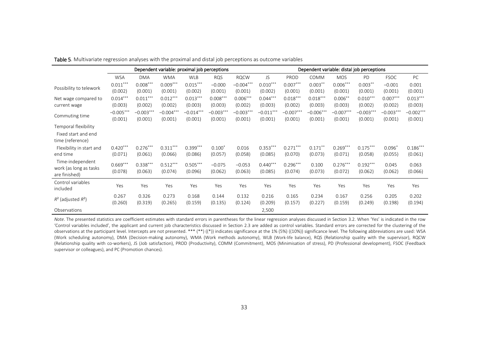|                                                                 | Dependent variable: proximal job perceptions<br>Dependent variable: distal job perceptions |                        |                        |                        |                        |                        |                        |                        |                        |                        |                        |                        |                        |
|-----------------------------------------------------------------|--------------------------------------------------------------------------------------------|------------------------|------------------------|------------------------|------------------------|------------------------|------------------------|------------------------|------------------------|------------------------|------------------------|------------------------|------------------------|
|                                                                 | <b>WSA</b>                                                                                 | <b>DMA</b>             | <b>WMA</b>             | <b>WLB</b>             | <b>RQS</b>             | <b>RQCW</b>            | JS.                    | PROD                   | COMM                   | <b>MOS</b>             | <b>PD</b>              | <b>FSOC</b>            | PC                     |
| Possibility to telework                                         | $0.011***$<br>(0.002)                                                                      | $0.008***$<br>(0.001)  | $0.009***$<br>(0.001)  | $0.015***$<br>(0.002)  | $-0.000$<br>(0.001)    | $-0.004***$<br>(0.001) | $0.010***$<br>(0.002)  | $0.007***$<br>(0.001)  | $0.003***$<br>(0.001)  | $0.006***$<br>(0.001)  | $0.003***$<br>(0.001)  | $-0.001$<br>(0.001)    | 0.001<br>(0.001)       |
| Net wage compared to<br>current wage                            | $0.014***$<br>(0.003)                                                                      | $0.011***$<br>(0.002)  | $0.012***$<br>(0.002)  | $0.013***$<br>(0.003)  | $0.008***$<br>(0.003)  | $0.006***$<br>(0.002)  | $0.044***$<br>(0.003)  | $0.018***$<br>(0.002)  | $0.018***$<br>(0.003)  | $0.006$ **<br>(0.003)  | $0.010***$<br>(0.002)  | $0.007***$<br>(0.002)  | $0.013***$<br>(0.003)  |
| Commuting time                                                  | $-0.005***$<br>(0.001)                                                                     | $-0.003***$<br>(0.001) | $-0.004***$<br>(0.001) | $-0.014***$<br>(0.001) | $-0.003***$<br>(0.001) | $-0.003***$<br>(0.001) | $-0.011***$<br>(0.001) | $-0.007***$<br>(0.001) | $-0.006***$<br>(0.001) | $-0.007***$<br>(0.001) | $-0.003***$<br>(0.001) | $-0.003***$<br>(0.001) | $-0.002***$<br>(0.001) |
| Temporal flexibility<br>Fixed start and end<br>time (reference) |                                                                                            |                        |                        |                        |                        |                        |                        |                        |                        |                        |                        |                        |                        |
| Flexibility in start and<br>end time                            | $0.420***$<br>(0.071)                                                                      | $0.276***$<br>(0.061)  | $0.311***$<br>(0.066)  | $0.399***$<br>(0.086)  | $0.100*$<br>(0.057)    | 0.016<br>(0.058)       | $0.353***$<br>(0.085)  | $0.271***$<br>(0.070)  | $0.171***$<br>(0.073)  | $0.269***$<br>(0.071)  | $0.175***$<br>(0.058)  | $0.096*$<br>(0.055)    | $0.186***$<br>(0.061)  |
| Time-independent<br>work (as long as tasks)<br>are finished)    | $0.669***$<br>(0.078)                                                                      | $0.338***$<br>(0.063)  | $0.512***$<br>(0.074)  | $0.505***$<br>(0.096)  | $-0.075$<br>(0.062)    | $-0.053$<br>(0.063)    | $0.440***$<br>(0.085)  | $0.296***$<br>(0.074)  | 0.100<br>(0.073)       | $0.276***$<br>(0.072)  | $0.192***$<br>(0.062)  | 0.045<br>(0.062)       | 0.063<br>(0.066)       |
| Control variables<br>included                                   | Yes                                                                                        | Yes                    | Yes                    | Yes                    | Yes                    | Yes                    | Yes                    | Yes                    | Yes                    | Yes                    | Yes                    | Yes                    | Yes                    |
| $R^2$ (adjusted $R^2$ )                                         | 0.267<br>(0.260)                                                                           | 0.326<br>(0.319)       | 0.273<br>(0.265)       | 0.168<br>(0.159)       | 0.144<br>(0.135)       | 0.132<br>(0.124)       | 0.216<br>(0.209)       | 0.165<br>(0.157)       | 0.234<br>(0.227)       | 0.167<br>(0.159)       | 0.256<br>(0.249)       | 0.205<br>(0.198)       | 0.202<br>(0.194)       |
| Observations                                                    |                                                                                            |                        |                        |                        |                        |                        | 2,500                  |                        |                        |                        |                        |                        |                        |

Table 5. Multivariate regression analyses with the proximal and distal job perceptions as outcome variables

*Note*. The presented statistics are coefficient estimates with standard errors in parentheses for the linear regression analyses discussed in Section 3.2. When 'Yes' is indicated in the row 'Control variables included', the applicant and current job characteristics discussed in Section 2.3 are added as control variables. Standard errors are corrected for the clustering of the observations at the participant level. Intercepts are not presented. \*\*\* (\*\*) ((\*)) indicates significance at the 1% (5%) ((10%)) significance level. The following abbreviations are used: WSA (Work scheduling autonomy), DMA (Decision-making autonomy), WMA (Work methods autonomy), WLB (Work-life balance), RQS (Relationship quality with the supervisor), RQCW (Relationship quality with co-workers), JS (Job satisfaction), PROD (Productivity), COMM (Commitment), MOS (Minimisation of stress), PD (Professional development), FSOC (Feedback supervisor or colleagues), and PC (Promotion chances).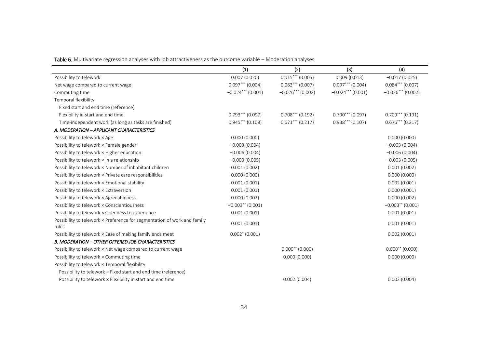Table 6. Multivariate regression analyses with job attractiveness as the outcome variable – Moderation analyses

|                                                                                   | (1)                 | (2)                 | (3)                 | (4)                 |
|-----------------------------------------------------------------------------------|---------------------|---------------------|---------------------|---------------------|
| Possibility to telework                                                           | 0.007(0.020)        | $0.015***$ (0.005)  | 0.009(0.013)        | $-0.017(0.025)$     |
| Net wage compared to current wage                                                 | $0.097***$ (0.004)  | $0.083***$ (0.007)  | $0.097***$ (0.004)  | $0.084***$ (0.007)  |
| Commuting time                                                                    | $-0.024***$ (0.001) | $-0.026***$ (0.002) | $-0.024***$ (0.001) | $-0.026***$ (0.002) |
| Temporal flexibility                                                              |                     |                     |                     |                     |
| Fixed start and end time (reference)                                              |                     |                     |                     |                     |
| Flexibility in start and end time                                                 | $0.793***$ (0.097)  | $0.708***$ (0.192)  | $0.790***$ (0.097)  | $0.709***$ (0.191)  |
| Time-independent work (as long as tasks are finished)                             | $0.945***$ (0.108)  | $0.671***$ (0.217)  | $0.938***$ (0.107)  | $0.676***$ (0.217)  |
| A. MODERATION - APPLICANT CHARACTERISTICS                                         |                     |                     |                     |                     |
| Possibility to telework x Age                                                     | 0.000(0.000)        |                     |                     | 0.000(0.000)        |
| Possibility to telework x Female gender                                           | $-0.003(0.004)$     |                     |                     | $-0.003(0.004)$     |
| Possibility to telework x Higher education                                        | $-0.006(0.004)$     |                     |                     | $-0.006(0.004)$     |
| Possibility to telework x In a relationship                                       | $-0.003(0.005)$     |                     |                     | $-0.003(0.005)$     |
| Possibility to telework x Number of inhabitant children                           | 0.001(0.002)        |                     |                     | 0.001(0.002)        |
| Possibility to telework x Private care responsibilities                           | 0.000(0.000)        |                     |                     | 0.000(0.000)        |
| Possibility to telework x Emotional stability                                     | 0.001(0.001)        |                     |                     | 0.002(0.001)        |
| Possibility to telework x Extraversion                                            | 0.001(0.001)        |                     |                     | 0.000(0.001)        |
| Possibility to telework × Agreeableness                                           | 0.000(0.002)        |                     |                     | 0.000(0.002)        |
| Possibility to telework x Conscientiousness                                       | $-0.003**$ (0.001)  |                     |                     | $-0.003**$ (0.001)  |
| Possibility to telework x Openness to experience                                  | 0.001(0.001)        |                     |                     | 0.001(0.001)        |
| Possibility to telework x Preference for segmentation of work and family<br>roles | 0.001(0.001)        |                     |                     | 0.001(0.001)        |
| Possibility to telework x Ease of making family ends meet                         | $0.002^* (0.001)$   |                     |                     | 0.002(0.001)        |
| <b>B. MODERATION - OTHER OFFERED JOB CHARACTERISTICS</b>                          |                     |                     |                     |                     |
| Possibility to telework x Net wage compared to current wage                       |                     | $0.000**$ (0.000)   |                     | $0.000**$ (0.000)   |
| Possibility to telework x Commuting time                                          |                     | 0.000(0.000)        |                     | 0.000(0.000)        |
| Possibility to telework x Temporal flexibility                                    |                     |                     |                     |                     |
| Possibility to telework x Fixed start and end time (reference)                    |                     |                     |                     |                     |
| Possibility to telework x Flexibility in start and end time                       |                     | 0.002(0.004)        |                     | 0.002(0.004)        |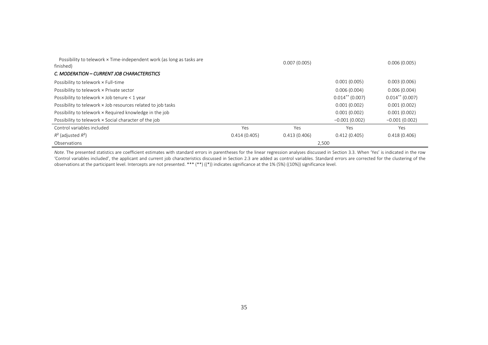| Possibility to telework x Time-independent work (as long as tasks are<br>finished) |              | 0.007(0.005) |                   | 0.006(0.005)      |
|------------------------------------------------------------------------------------|--------------|--------------|-------------------|-------------------|
| C. MODERATION - CURRENT JOB CHARACTERISTICS                                        |              |              |                   |                   |
| Possibility to telework x Full-time                                                |              |              | 0.001(0.005)      | 0.003(0.006)      |
| Possibility to telework x Private sector                                           |              |              | 0.006(0.004)      | 0.006(0.004)      |
| Possibility to telework x Job tenure < 1 year                                      |              |              | $0.014**$ (0.007) | $0.014**$ (0.007) |
| Possibility to telework x Job resources related to job tasks                       |              |              | 0.001(0.002)      | 0.001(0.002)      |
| Possibility to telework x Required knowledge in the job                            |              |              | 0.001(0.002)      | 0.001(0.002)      |
| Possibility to telework x Social character of the job                              |              |              | $-0.001(0.002)$   | $-0.001(0.002)$   |
| Control variables included                                                         | Yes          | Yes          | Yes               | Yes               |
| $R^2$ (adjusted $R^2$ )                                                            | 0.414(0.405) | 0.413(0.406) | 0.412(0.405)      | 0.418(0.406)      |
| Observations                                                                       |              | 2,500        |                   |                   |

*Note*. The presented statistics are coefficient estimates with standard errors in parentheses for the linear regression analyses discussed in Section 3.3. When 'Yes' is indicated in the row 'Control variables included', the applicant and current job characteristics discussed in Section 2.3 are added as control variables. Standard errors are corrected for the clustering of the observations at the participant level. Intercepts are not presented. \*\*\* (\*\*) ((\*)) indicates significance at the 1% (5%) ((10%)) significance level.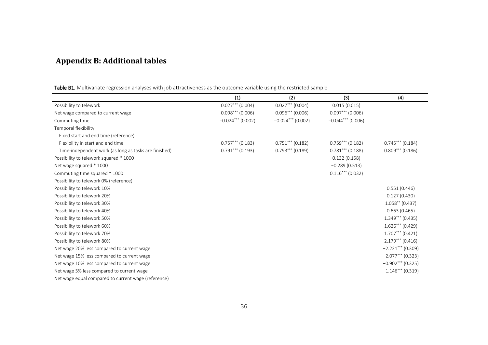## **Appendix B: Additional tables**

Table B1. Multivariate regression analyses with job attractiveness as the outcome variable using the restricted sample

|                                                       | (1)                 | (2)                 | (3)                 | (4)                 |
|-------------------------------------------------------|---------------------|---------------------|---------------------|---------------------|
| Possibility to telework                               | $0.027***$ (0.004)  | $0.027***$ (0.004)  | 0.015(0.015)        |                     |
| Net wage compared to current wage                     | $0.098***$ (0.006)  | $0.096***$ (0.006)  | $0.097***$ (0.006)  |                     |
| Commuting time                                        | $-0.024***$ (0.002) | $-0.024***$ (0.002) | $-0.044***$ (0.006) |                     |
| Temporal flexibility                                  |                     |                     |                     |                     |
| Fixed start and end time (reference)                  |                     |                     |                     |                     |
| Flexibility in start and end time                     | $0.757***$ (0.183)  | $0.751***$ (0.182)  | $0.759***$ (0.182)  | $0.745***$ (0.184)  |
| Time-independent work (as long as tasks are finished) | $0.791***$ (0.193)  | $0.793***$ (0.189)  | $0.781***$ (0.188)  | $0.809***$ (0.186)  |
| Possibility to telework squared * 1000                |                     |                     | 0.132(0.158)        |                     |
| Net wage squared * 1000                               |                     |                     | $-0.289(0.513)$     |                     |
| Commuting time squared * 1000                         |                     |                     | $0.116***$ (0.032)  |                     |
| Possibility to telework 0% (reference)                |                     |                     |                     |                     |
| Possibility to telework 10%                           |                     |                     |                     | 0.551(0.446)        |
| Possibility to telework 20%                           |                     |                     |                     | 0.127(0.430)        |
| Possibility to telework 30%                           |                     |                     |                     | $1.058**$ (0.437)   |
| Possibility to telework 40%                           |                     |                     |                     | 0.663(0.465)        |
| Possibility to telework 50%                           |                     |                     |                     | $1.349***$ (0.435)  |
| Possibility to telework 60%                           |                     |                     |                     | $1.626***(0.429)$   |
| Possibility to telework 70%                           |                     |                     |                     | $1.707***$ (0.421)  |
| Possibility to telework 80%                           |                     |                     |                     | $2.179***$ (0.416)  |
| Net wage 20% less compared to current wage            |                     |                     |                     | $-2.231***$ (0.309) |
| Net wage 15% less compared to current wage            |                     |                     |                     | $-2.077***$ (0.323) |
| Net wage 10% less compared to current wage            |                     |                     |                     | $-0.902***$ (0.325) |
| Net wage 5% less compared to current wage             |                     |                     |                     | $-1.146***$ (0.319) |
| Net wage equal compared to current wage (reference)   |                     |                     |                     |                     |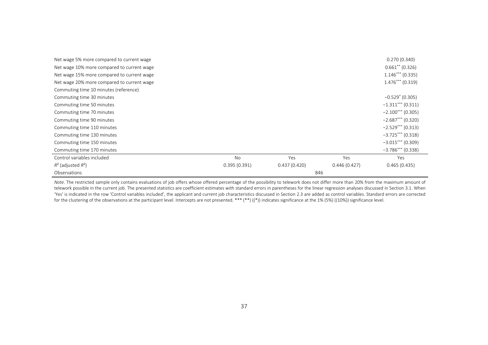| Net wage 5% more compared to current wage  |              |              |              | 0.270(0.340)        |
|--------------------------------------------|--------------|--------------|--------------|---------------------|
| Net wage 10% more compared to current wage |              |              |              | $0.661**$ (0.326)   |
| Net wage 15% more compared to current wage |              |              |              | $1.146***$ (0.335)  |
| Net wage 20% more compared to current wage |              |              |              | $1.476***$ (0.319)  |
| Commuting time 10 minutes (reference)      |              |              |              |                     |
| Commuting time 30 minutes                  |              |              |              | $-0.529$ (0.305)    |
| Commuting time 50 minutes                  |              |              |              | $-1.311***$ (0.311) |
| Commuting time 70 minutes                  |              |              |              | $-2.100***$ (0.305) |
| Commuting time 90 minutes                  |              |              |              | $-2.687***$ (0.320) |
| Commuting time 110 minutes                 |              |              |              | $-2.529***$ (0.313) |
| Commuting time 130 minutes                 |              |              |              | $-3.725***$ (0.318) |
| Commuting time 150 minutes                 |              |              |              | $-3.015***$ (0.309) |
| Commuting time 170 minutes                 |              |              |              | $-3.786***$ (0.338) |
| Control variables included                 | No           | Yes          | Yes          | Yes                 |
| $R^2$ (adjusted $R^2$ )                    | 0.395(0.391) | 0.437(0.420) | 0.446(0.427) | 0.465(0.435)        |
| Observations                               |              | 846          |              |                     |

Note. The restricted sample only contains evaluations of job offers whose offered percentage of the possibility to telework does not differ more than 20% from the maximum amount of telework possible in the current job. The presented statistics are coefficient estimates with standard errors in parentheses for the linear regression analyses discussed in Section 3.1. When 'Yes' is indicated in the row 'Control variables included', the applicant and current job characteristics discussed in Section 2.3 are added as control variables. Standard errors are corrected for the clustering of the observations at the participant level. Intercepts are not presented. \*\*\* (\*\*) ((\*)) indicates significance at the 1% (5%) ((10%)) significance level.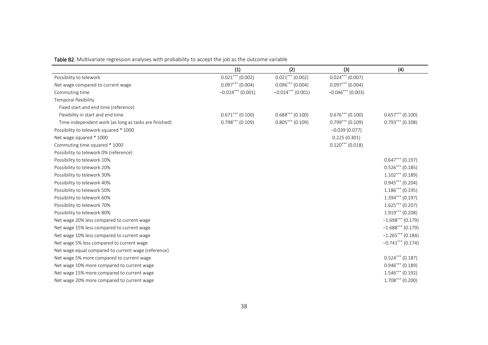|                                                       | (1)                 | (2)                 | (3)                | (4)                 |
|-------------------------------------------------------|---------------------|---------------------|--------------------|---------------------|
| Possibility to telework                               | $0.021***$ (0.002)  | $0.021***$ (0.002)  | $0.024***$ (0.007) |                     |
| Net wage compared to current wage                     | $0.097***$ (0.004)  | $0.096***$ (0.004)  | $0.097***$ (0.004) |                     |
| Commuting time                                        | $-0.024***$ (0.001) | $-0.024***$ (0.001) | $-0.046***(0.003)$ |                     |
| Temporal flexibility                                  |                     |                     |                    |                     |
| Fixed start and end time (reference)                  |                     |                     |                    |                     |
| Flexibility in start and end time                     | $0.671***$ (0.100)  | $0.688***$ (0.100)  | $0.676***$ (0.100) | $0.657***$ (0.100)  |
| Time-independent work (as long as tasks are finished) | $0.798***$ (0.109)  | $0.805***$ (0.109)  | $0.799***$ (0.109) | $0.793***$ (0.108)  |
| Possibility to telework squared * 1000                |                     |                     | $-0.039(0.077)$    |                     |
| Net wage squared * 1000                               |                     |                     | 0.225(0.301)       |                     |
| Commuting time squared * 1000                         |                     |                     | $0.120***$ (0.018) |                     |
| Possibility to telework 0% (reference)                |                     |                     |                    |                     |
| Possibility to telework 10%                           |                     |                     |                    | $0.647***$ (0.197)  |
| Possibility to telework 20%                           |                     |                     |                    | $0.526***$ (0.185)  |
| Possibility to telework 30%                           |                     |                     |                    | $1.102***$ (0.189)  |
| Possibility to telework 40%                           |                     |                     |                    | $0.945***$ (0.204)  |
| Possibility to telework 50%                           |                     |                     |                    | $1.186***$ (0.195)  |
| Possibility to telework 60%                           |                     |                     |                    | $1.394***$ (0.197)  |
| Possibility to telework 70%                           |                     |                     |                    | $1.625***$ (0.207)  |
| Possibility to telework 80%                           |                     |                     |                    | $1.919***$ (0.208)  |
| Net wage 20% less compared to current wage            |                     |                     |                    | $-1.698***$ (0.179) |
| Net wage 15% less compared to current wage            |                     |                     |                    | $-1.688***(0.179)$  |
| Net wage 10% less compared to current wage            |                     |                     |                    | $-1.265***$ (0.184) |
| Net wage 5% less compared to current wage             |                     |                     |                    | $-0.741***$ (0.174) |
| Net wage equal compared to current wage (reference)   |                     |                     |                    |                     |
| Net wage 5% more compared to current wage             |                     |                     |                    | $0.524***$ (0.187)  |
| Net wage 10% more compared to current wage            |                     |                     |                    | $0.946***(0.189)$   |
| Net wage 15% more compared to current wage            |                     |                     |                    | $1.546***$ (0.192)  |
| Net wage 20% more compared to current wage            |                     |                     |                    | $1.708***$ (0.200)  |

Table B2. Multivariate regression analyses with probability to accept the job as the outcome variable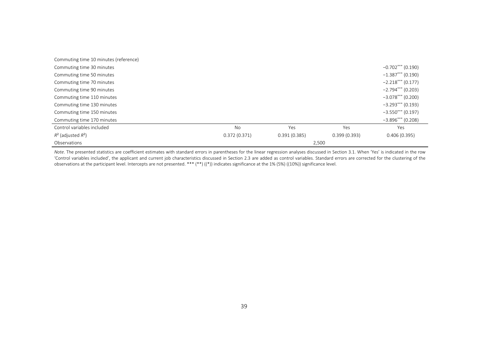| Commuting time 10 minutes (reference) |              |              |              |                     |  |
|---------------------------------------|--------------|--------------|--------------|---------------------|--|
| Commuting time 30 minutes             |              |              |              | $-0.702***$ (0.190) |  |
| Commuting time 50 minutes             |              |              |              | $-1.387***$ (0.190) |  |
| Commuting time 70 minutes             |              |              |              | $-2.218***$ (0.177) |  |
| Commuting time 90 minutes             |              |              |              | $-2.794***$ (0.203) |  |
| Commuting time 110 minutes            |              |              |              | $-3.078***$ (0.200) |  |
| Commuting time 130 minutes            |              |              |              | $-3.293***$ (0.193) |  |
| Commuting time 150 minutes            |              |              |              | $-3.550***$ (0.197) |  |
| Commuting time 170 minutes            |              |              |              | $-3.896***$ (0.208) |  |
| Control variables included            | <b>No</b>    | Yes          | Yes          | Yes                 |  |
| $R^2$ (adjusted $R^2$ )               | 0.372(0.371) | 0.391(0.385) | 0.399(0.393) | 0.406(0.395)        |  |
| Observations                          | 2,500        |              |              |                     |  |

Note. The presented statistics are coefficient estimates with standard errors in parentheses for the linear regression analyses discussed in Section 3.1. When 'Yes' is indicated in the row 'Control variables included', the applicant and current job characteristics discussed in Section 2.3 are added as control variables. Standard errors are corrected for the clustering of the observations at the participant level. Intercepts are not presented. \*\*\* (\*\*) ((\*)) indicates significance at the 1% (5%) ((10%)) significance level.